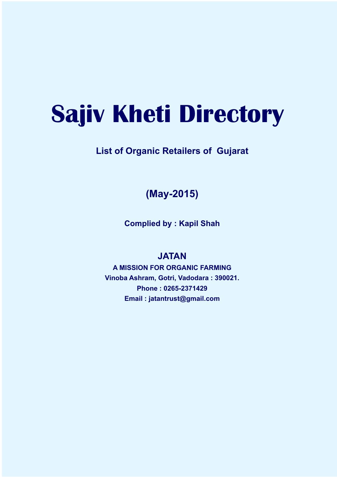# **Sajiv Kheti Directory**

## **List of Organic Retailers of Gujarat**

## **(May-2015)**

**Complied by : Kapil Shah**

#### **JATAN**

**A MISSION FOR ORGANIC FARMING Vinoba Ashram, Gotri, Vadodara : 390021. Phone : 0265-2371429 Email : jatantrust@gmail.com**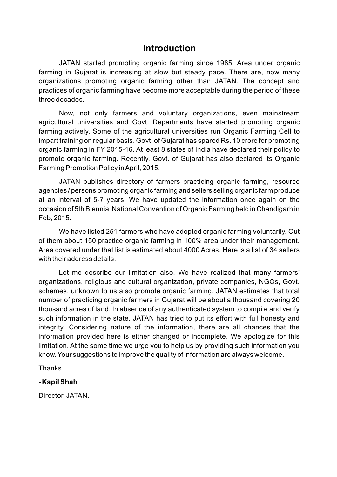#### **Introduction**

JATAN started promoting organic farming since 1985. Area under organic farming in Gujarat is increasing at slow but steady pace. There are, now many organizations promoting organic farming other than JATAN. The concept and practices of organic farming have become more acceptable during the period of these three decades.

Now, not only farmers and voluntary organizations, even mainstream agricultural universities and Govt. Departments have started promoting organic farming actively. Some of the agricultural universities run Organic Farming Cell to impart training on regular basis. Govt. of Gujarat has spared Rs. 10 crore for promoting organic farming in FY 2015-16. At least 8 states of India have declared their policy to promote organic farming. Recently, Govt. of Gujarat has also declared its Organic Farming Promotion Policy in April, 2015.

JATAN publishes directory of farmers practicing organic farming, resource agencies / persons promoting organic farming and sellers selling organic farm produce at an interval of 5-7 years. We have updated the information once again on the occasion of 5th Biennial National Convention of Organic Farming held in Chandigarh in Feb, 2015.

We have listed 251 farmers who have adopted organic farming voluntarily. Out of them about 150 practice organic farming in 100% area under their management. Area covered under that list is estimated about 4000 Acres. Here is a list of 34 sellers with their address details.

Let me describe our limitation also. We have realized that many farmers' organizations, religious and cultural organization, private companies, NGOs, Govt. schemes, unknown to us also promote organic farming. JATAN estimates that total number of practicing organic farmers in Gujarat will be about a thousand covering 20 thousand acres of land. In absence of any authenticated system to compile and verify such information in the state, JATAN has tried to put its effort with full honesty and integrity. Considering nature of the information, there are all chances that the information provided here is either changed or incomplete. We apologize for this limitation. At the some time we urge you to help us by providing such information you know. Your suggestions to improve the quality of information are always welcome.

Thanks.

#### **- Kapil Shah**

Director, JATAN.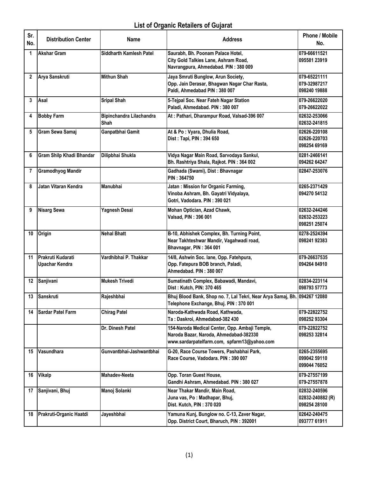### List of Organic Retailers of Gujarat

| Sr.<br>No.   | <b>Distribution Center</b>                 | Name                             | <b>Address</b>                                                                                                                          | <b>Phone / Mobile</b><br>No.                     |
|--------------|--------------------------------------------|----------------------------------|-----------------------------------------------------------------------------------------------------------------------------------------|--------------------------------------------------|
| 1            | <b>Akshar Gram</b>                         | <b>Siddharth Kamlesh Patel</b>   | Saurabh, Bh. Poonam Palace Hotel,<br>City Gold Talkies Lane, Ashram Road,<br>Navrangpura, Ahmedabad. PIN: 380 009                       | 079-66611521<br>095581 23919                     |
| $\mathbf{2}$ | Arya Sanskruti                             | <b>Mithun Shah</b>               | Jaya Smruti Bunglow, Arun Society,<br>Opp. Jain Derasar, Bhagwan Nagar Char Rasta,<br>Paldi, Ahmedabad PIN: 380 007                     | 079-65221111<br>079-32987217<br>098240 19888     |
| 3            | Asal                                       | <b>Sripal Shah</b>               | 5-Tejpal Soc. Near Fateh Nagar Station<br>Paladi, Ahmedabad. PIN: 380 007                                                               | 079-26622020<br>079-26622022                     |
| 4            | <b>Bobby Farm</b>                          | Bipinchandra Lilachandra<br>Shah | At: Pathari, Dharampur Road, Valsad-396 007                                                                                             | 02632-253066<br>02632-241815                     |
| 5            | Gram Sewa Samaj                            | Ganpatbhai Gamit                 | At & Po : Vyara, Dhulia Road,<br>Dist: Tapi, PIN: 394 650                                                                               | 02626-220108<br>02626-220703<br>098254 69169     |
| 6            | <b>Gram Shilp Khadi Bhandar</b>            | Dilipbhai Shukla                 | Vidya Nagar Main Road, Sarvodaya Sankul,<br>Bh. Rashtriya Shala, Rajkot. PIN: 364 002                                                   | 0281-2466141<br>094262 64247                     |
| 7            | <b>Gramodhyog Mandir</b>                   |                                  | Gadhada (Swami), Dist: Bhavnagar<br>PIN: 364750                                                                                         | 02847-253076                                     |
| 8            | Jatan Vitaran Kendra                       | Manubhai                         | Jatan: Mission for Organic Farming,<br>Vinoba Ashram, Bh. Gayatri Vidyalaya,<br>Gotri, Vadodara. PIN: 390 021                           | 0265-2371429<br>094270 54132                     |
| 9            | <b>Nisarg Sewa</b>                         | Yagnesh Desai                    | Mohan Optician, Azad Chawk,<br>Valsad, PIN: 396 001                                                                                     | 02632-244246<br>02632-253223<br>098251 25074     |
| 10           | Origin                                     | <b>Nehal Bhatt</b>               | B-10, Abhishek Complex, Bh. Turning Point,<br>Near Takhteshwar Mandir, Vagahwadi road,<br>Bhavnagar, PIN: 364 001                       | 0278-2524394<br>098241 92383                     |
| 11           | <b>Prakruti Kudarati</b><br>Upachar Kendra | Vardhibhai P. Thakkar            | 14/8, Ashwin Soc. lane, Opp. Fatehpura,<br>Opp. Fatepura BOB branch, Paladi,<br>Ahmedabad. PIN: 380 007                                 | 079-26637535<br>094264 84910                     |
| 12           | Sanjivani                                  | <b>Mukesh Trivedi</b>            | Sumatinath Complex, Babawadi, Mandavi,<br>Dist: Kutch, PIN: 370 465                                                                     | 02834-223114<br>098793 57773                     |
| 13           | Sanskruti                                  | Rajeshbhai                       | Bhuj Blood Bank, Shop no. 7, Lal Tekri, Near Arya Samaj, Bh. 094267 12080<br>Telephone Exchange, Bhuj. PIN: 370 001                     |                                                  |
| 14           | <b>Sardar Patel Farm</b>                   | <b>Chirag Patel</b>              | Naroda-Kathwada Road, Kathwada,<br>Ta: Daskroi, Ahmedabad-382 430                                                                       | 079-22822752<br>098252 93304                     |
|              |                                            | Dr. Dinesh Patel                 | 154-Naroda Medical Center, Opp. Ambaji Temple,<br>Naroda Bazar, Naroda, Ahmedabad-382330<br>www.sardarpatelfarm.com, spfarm13@yahoo.com | 079-22822752<br>098253 32814                     |
| 15           | Vasundhara                                 | Gunvantbhai-Jashwantbhai         | G-20, Race Course Towers, Pashabhai Park,<br>Race Course, Vadodara. PIN: 390 007                                                        | 0265-2355695<br>099042 59110<br>099044 76052     |
| 16           | <b>Vikalp</b>                              | <b>Mahadev-Neeta</b>             | Opp. Toran Guest House,<br>Gandhi Ashram, Ahmedabad. PIN: 380 027                                                                       | 079-27557199<br>079-27557878                     |
| 17           | Sanjivani, Bhuj                            | Manoj Solanki                    | Near Thakar Mandir, Main Road,<br>Juna vas, Po: Madhapar, Bhuj,<br>Dist. Kutch, PIN: 370 020                                            | 02832-240596<br>02832-240882 (R)<br>098254 28100 |
| 18           | Prakruti-Organic Haatdi                    | Jayeshbhai                       | Yamuna Kunj, Bunglow no. C-13, Zaver Nagar,<br>Opp. District Court, Bharuch, PIN: 392001                                                | 02642-240475<br>093777 61911                     |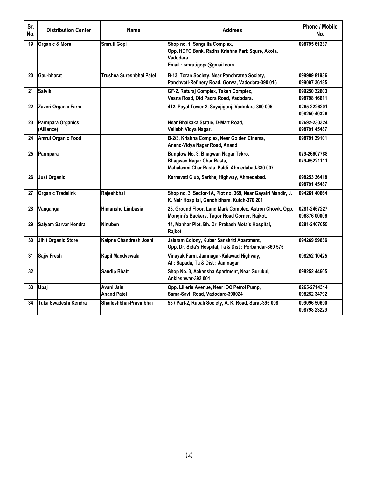| Sr.<br>No. | <b>Distribution Center</b>      | <b>Address</b><br>Name           |                                                                                                                                |                              |  |  |
|------------|---------------------------------|----------------------------------|--------------------------------------------------------------------------------------------------------------------------------|------------------------------|--|--|
| 19         | <b>Organic &amp; More</b>       | Smruti Gopi                      | Shop no. 1, Sangrilla Complex,<br>Opp. HDFC Bank, Radha Krishna Park Squre, Akota,<br>Vadodara.<br>Email: smrutigopa@gmail.com | 098795 61237                 |  |  |
| 20         | Gau-bharat                      | Trushna Sureshbhai Patel         | B-13, Toran Society, Near Panchratna Society,<br>Panchvati-Refinery Road, Gorwa, Vadodara-390 016                              | 099989 81936<br>099097 36185 |  |  |
| 21         | Satvik                          |                                  | GF-2, Ruturaj Complex, Taksh Complex,<br>Vasna Road, Old Padra Road, Vadodara.                                                 | 099250 32603<br>098798 16611 |  |  |
|            | 22 Zaveri Organic Farm          |                                  | 412, Payal Tower-2, Sayajigunj, Vadodara-390 005                                                                               | 0265-2226201<br>098250 40326 |  |  |
| 23         | Parmpara Organics<br>(Alliance) |                                  | Near Bhaikaka Statue, D-Mart Road,<br>Vallabh Vidya Nagar.                                                                     | 02692-230324<br>098791 45487 |  |  |
|            | 24 Amrut Organic Food           |                                  | B-2/3, Krishna Complex, Near Golden Cinema,<br>Anand-Vidya Nagar Road, Anand.                                                  | 098791 39101                 |  |  |
|            | 25 Parmpara                     |                                  | Bunglow No. 3, Bhagwan Nagar Tekro,<br>Bhagwan Nagar Char Rasta,<br>Mahalaxmi Char Rasta, Paldi, Ahmedabad-380 007             | 079-26607788<br>079-65221111 |  |  |
| 26         | <b>Just Organic</b>             |                                  | Karnavati Club, Sarkhej Highway, Ahmedabad.                                                                                    | 098253 36418<br>098791 45487 |  |  |
| 27         | <b>Organic Tradelink</b>        | Rajeshbhai                       | Shop no. 3, Sector-1A, Plot no. 369, Near Gayatri Mandir, J.<br>K. Nair Hospital, Gandhidham, Kutch-370 201                    | 094261 40664                 |  |  |
| 28         | Vanganga                        | Himanshu Limbasia                | 23, Ground Floor, Land Mark Complex, Astron Chowk, Opp.<br>Mongini's Backery, Tagor Road Corner, Rajkot.                       | 0281-2467227<br>096876 00006 |  |  |
| 29         | Satyam Sarvar Kendra            | Ninuben                          | 14, Manhar Plot, Bh. Dr. Prakash Mota's Hospital,<br>Rajkot.                                                                   | 0281-2467655                 |  |  |
| 30         | <b>Jihit Organic Store</b>      | Kalpna Chandresh Joshi           | Jalaram Colony, Kuber Sanskriti Apartment,<br>Opp. Dr. Sida's Hospital, Ta & Dist: Porbandar-360 575                           | 094269 99636                 |  |  |
| 31         | <b>Sajiv Fresh</b>              | Kapil Mandvewala                 | Vinayak Farm, Jamnagar-Kalawad Highway,<br>At: Sapada, Ta & Dist: Jamnagar                                                     | 098252 10425                 |  |  |
| 32         |                                 | <b>Sandip Bhatt</b>              | Shop No. 3, Aakansha Apartment, Near Gurukul,<br>Ankleshwar-393 001                                                            | 098252 44605                 |  |  |
| 33         | Upaj                            | Avani Jain<br><b>Anand Patel</b> | Opp. Lilleria Avenue, Near IOC Petrol Pump,<br>Sama-Savli Road, Vadodara-390024                                                | 0265-2714314<br>098252 34792 |  |  |
| 34         | Tulsi Swadeshi Kendra           | Shaileshbhai-Pravinbhai          | 53 / Part-2, Rupali Society, A. K. Road, Surat-395 008                                                                         | 099096 50600<br>098798 23229 |  |  |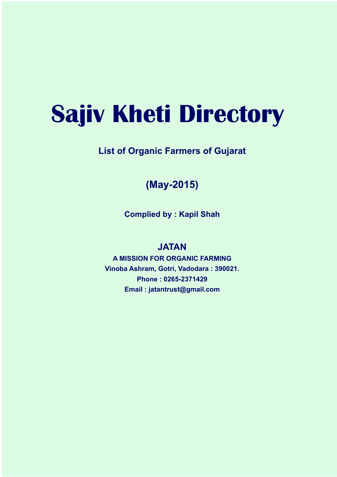# **Sajiv Kheti Directory**

### **List of Organic Farmers of Gujarat**

## **(May-2015)**

**Complied by : Kapil Shah**

#### **JATAN**

**A MISSION FOR ORGANIC FARMING Vinoba Ashram, Gotri, Vadodara : 390021. Phone : 0265-2371429 Email : jatantrust@gmail.com**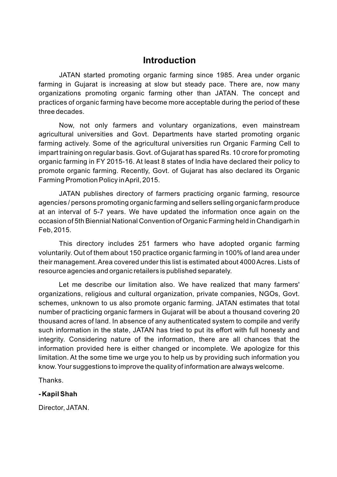#### **Introduction**

JATAN started promoting organic farming since 1985. Area under organic farming in Gujarat is increasing at slow but steady pace. There are, now many organizations promoting organic farming other than JATAN. The concept and practices of organic farming have become more acceptable during the period of these three decades.

Now, not only farmers and voluntary organizations, even mainstream agricultural universities and Govt. Departments have started promoting organic farming actively. Some of the agricultural universities run Organic Farming Cell to impart training on regular basis. Govt. of Gujarat has spared Rs. 10 crore for promoting organic farming in FY 2015-16. At least 8 states of India have declared their policy to promote organic farming. Recently, Govt. of Gujarat has also declared its Organic Farming Promotion Policy in April, 2015.

JATAN publishes directory of farmers practicing organic farming, resource agencies / persons promoting organic farming and sellers selling organic farm produce at an interval of 5-7 years. We have updated the information once again on the occasion of 5th Biennial National Convention of Organic Farming held in Chandigarh in Feb, 2015.

This directory includes 251 farmers who have adopted organic farming voluntarily. Out of them about 150 practice organic farming in 100% of land area under their management. Area covered under this list is estimated about 4000 Acres. Lists of resource agencies and organic retailers is published separately.

Let me describe our limitation also. We have realized that many farmers' organizations, religious and cultural organization, private companies, NGOs, Govt. schemes, unknown to us also promote organic farming. JATAN estimates that total number of practicing organic farmers in Gujarat will be about a thousand covering 20 thousand acres of land. In absence of any authenticated system to compile and verify such information in the state, JATAN has tried to put its effort with full honesty and integrity. Considering nature of the information, there are all chances that the information provided here is either changed or incomplete. We apologize for this limitation. At the some time we urge you to help us by providing such information you know. Your suggestions to improve the quality of information are always welcome.

Thanks.

#### **- Kapil Shah**

Director, JATAN.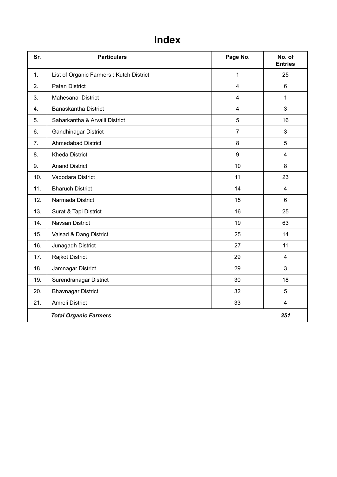# **Index**

| Sr. | <b>Particulars</b>                      | Page No.                | No. of<br><b>Entries</b> |
|-----|-----------------------------------------|-------------------------|--------------------------|
| 1.  | List of Organic Farmers: Kutch District | $\mathbf{1}$            | 25                       |
| 2.  | <b>Patan District</b>                   | $\overline{4}$          | 6                        |
| 3.  | Mahesana District                       | $\overline{\mathbf{4}}$ | $\mathbf{1}$             |
| 4.  | <b>Banaskantha District</b>             | $\overline{4}$          | 3                        |
| 5.  | Sabarkantha & Arvalli District          | 5                       | 16                       |
| 6.  | Gandhinagar District                    | $\overline{7}$          | 3                        |
| 7.  | <b>Ahmedabad District</b>               | 8                       | 5                        |
| 8.  | <b>Kheda District</b>                   | 9                       | $\overline{4}$           |
| 9.  | <b>Anand District</b>                   | 10                      | 8                        |
| 10. | Vadodara District                       | 11                      | 23                       |
| 11. | <b>Bharuch District</b>                 | 14                      | $\overline{\mathbf{4}}$  |
| 12. | Narmada District                        | 15                      | $6\phantom{1}$           |
| 13. | Surat & Tapi District                   | 16                      | 25                       |
| 14. | Navsari District                        | 19                      | 63                       |
| 15. | Valsad & Dang District                  | 25                      | 14                       |
| 16. | Junagadh District                       | 27                      | 11                       |
| 17. | Rajkot District                         | 29                      | $\overline{4}$           |
| 18. | Jamnagar District                       | 29                      | 3                        |
| 19. | Surendranagar District                  | 30                      | 18                       |
| 20. | <b>Bhavnagar District</b>               | 32                      | 5                        |
| 21. | Amreli District                         | 33                      | $\overline{\mathbf{4}}$  |
|     | <b>Total Organic Farmers</b>            |                         | 251                      |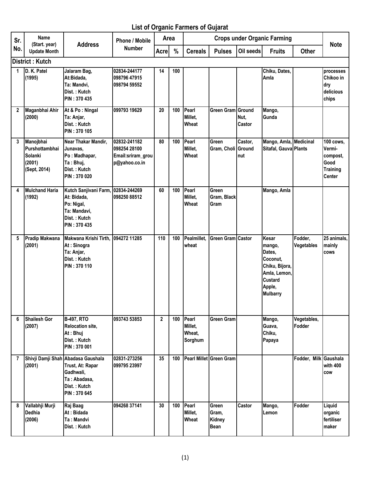#### List of Organic Farmers of Gujarat

| Sr.            | Name<br>(Start. year)                                            | <b>Address</b>                                                                                                      | <b>Phone / Mobile</b>                                              | Area           |     | <b>Crops under Organic Farming</b>    |                                         |                |                                                                                                                 |                       | <b>Note</b>                                                                        |
|----------------|------------------------------------------------------------------|---------------------------------------------------------------------------------------------------------------------|--------------------------------------------------------------------|----------------|-----|---------------------------------------|-----------------------------------------|----------------|-----------------------------------------------------------------------------------------------------------------|-----------------------|------------------------------------------------------------------------------------|
| No.            | <b>Update Month</b>                                              |                                                                                                                     | <b>Number</b>                                                      | <b>Acre</b>    | %   | <b>Cereals</b>                        | <b>Pulses</b>                           | Oil seeds      | <b>Fruits</b>                                                                                                   | <b>Other</b>          |                                                                                    |
|                | <b>District: Kutch</b>                                           |                                                                                                                     |                                                                    |                |     |                                       |                                         |                |                                                                                                                 |                       |                                                                                    |
| 1              | D. K. Patel<br>(1995)                                            | Jalaram Bag,<br>At:Bidada,<br>Ta: Mandvi,<br>Dist.: Kutch<br>PIN: 370 435                                           | 02834-244177<br>098796 47915<br>098794 59552                       | 14             | 100 |                                       |                                         |                | Chiku, Dates,<br>Amla                                                                                           |                       | processes<br>Chikoo in<br>dry<br>delicious<br>chips                                |
| $\mathbf{2}$   | Maganbhai Ahir<br>(2000)                                         | At & Po: Ningal<br>Ta: Anjar,<br>Dist.: Kutch<br>PIN: 370 105                                                       | 099793 19629                                                       | 20             | 100 | Pearl<br>Millet.<br>Wheat             | <b>Green Gram Ground</b>                | Nut,<br>Castor | Mango,<br>Gunda                                                                                                 |                       |                                                                                    |
| 3              | Manojbhai<br>Purshottambhai<br>Solanki<br>(2001)<br>(Sept, 2014) | Near Thakar Mandir,<br>Junavas.<br>Po: Madhapar,<br>Ta: Bhuj,<br>Dist.: Kutch<br>PIN: 370 020                       | 02832-241182<br>098254 28100<br>Email:sriram_grou<br>p@yahoo.co.in | 80             | 100 | Pearl<br>Millet,<br>Wheat             | Green<br>Gram, Choli Ground             | Castor,<br>nut | Mango, Amla, Medicinal<br>Sitafal, Gauva Plants                                                                 |                       | <b>100 cows.</b><br>Vermi-<br>compost,<br>Good<br><b>Training</b><br><b>Center</b> |
| 4              | <b>Mulchand Haria</b><br>(1992)                                  | Kutch Sanjivani Farm, 02834-244269<br>At: Bidada,<br>Po: Nigal,<br>Ta: Mandavi,<br>Dist.: Kutch<br>PIN: 370 435     | 098250 88512                                                       | 60             | 100 | Pearl<br>Millet,<br>Wheat             | Green<br>Gram, Black<br><b>Gram</b>     |                | Mango, Amla                                                                                                     |                       |                                                                                    |
| 5              | Pradip Makwana<br>(2001)                                         | Makwana Krishi Tirth,<br>At: Sinogra<br>Ta: Anjar,<br>Dist.: Kutch<br>PIN: 370 110                                  | 094272 11285                                                       | 110            | 100 | Pealmillet,<br>wheat                  | <b>Green Gram Castor</b>                |                | Kesar<br>mango,<br>Dates,<br>Coconut.<br>Chiku, Bijora,<br>Amla, Lemon,<br>Custard<br>Apple,<br><b>Mulbarry</b> | Fodder,<br>Vegetables | 25 animals,<br>mainly<br><b>COWS</b>                                               |
| 6              | <b>Shailesh Gor</b><br>(2007)                                    | <b>B-497, RTO</b><br>Relocation site,<br>At: Bhuj<br>Dist.: Kutch<br>PIN: 370 001                                   | 093743 53853                                                       | $\overline{2}$ | 100 | Pearl<br>Millet,<br>Wheat,<br>Sorghum | <b>Green Gram</b>                       |                | Mango,<br>Guava,<br>Chiku,<br>Papaya                                                                            | Vegetables,<br>Fodder |                                                                                    |
| $\overline{7}$ | (2001)                                                           | Shivji Damji Shah Abadasa Gaushala<br>Trust, At: Rapar<br>Gadhwali,<br>Ta: Abadasa,<br>Dist.: Kutch<br>PIN: 370 645 | 02831-273256<br>099795 23997                                       | 35             | 100 |                                       | Pearl Millet Green Gram                 |                |                                                                                                                 | Fodder, Milk Gaushala | with 400<br>cow                                                                    |
| 8              | Vallabhji Murji<br>Dedhia<br>(2006)                              | Raj Baag<br>At: Bidada<br>Ta: Mandvi<br>Dist.: Kutch                                                                | 094268 37141                                                       | 30             | 100 | Pearl<br>Millet,<br>Wheat             | Green<br>Gram,<br>Kidney<br><b>Bean</b> | Castor         | Mango,<br>Lemon                                                                                                 | Fodder                | Liquid<br>organic<br>fertiliser<br>maker                                           |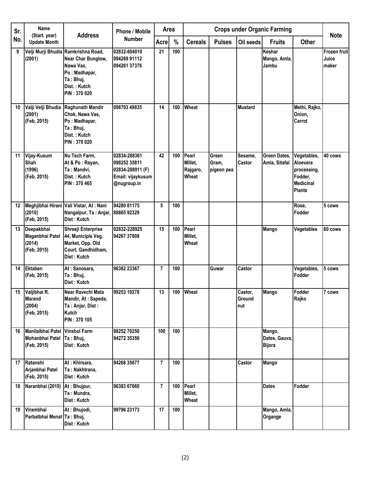| Sr. | <b>Name</b><br>(Start. year)                           | <b>Address</b>                                                                                                                       | <b>Phone / Mobile</b>                                                                |                | <b>Crops under Organic Farming</b><br>Area |                                       |                              |                          | <b>Note</b>                              |                                                                                        |                                       |
|-----|--------------------------------------------------------|--------------------------------------------------------------------------------------------------------------------------------------|--------------------------------------------------------------------------------------|----------------|--------------------------------------------|---------------------------------------|------------------------------|--------------------------|------------------------------------------|----------------------------------------------------------------------------------------|---------------------------------------|
| No. | <b>Update Month</b>                                    |                                                                                                                                      | <b>Number</b>                                                                        | Acre           | %                                          | <b>Cereals</b>                        | <b>Pulses</b>                | Oil seeds                | <b>Fruits</b>                            | <b>Other</b>                                                                           |                                       |
| 9   | (2001)                                                 | Velji Murji Bhudia Ramkrishna Road,<br>Near Char Bunglow,<br>Nawa Vas,<br>Po: Madhapar,<br>Ta: Bhuj,<br>Dist.: Kutch<br>PIN: 370 020 | 02832-604010<br>094269 91112<br>094261 37376                                         | 21             | 100                                        |                                       |                              |                          | Keshar<br>Mango, Amla,<br>Jambu          |                                                                                        | <b>Frozen fruit</b><br>Juice<br>maker |
| 10  | Valji Velji Bhudia<br>(2001)<br>(Feb, 2015)            | Raghunath Mandir<br>Chok, Nawa Vas,<br>Po: Madhapar,<br>Ta: Bhuj,<br>Dist.: Kutch<br>PIN: 370 020                                    | 098793 49835                                                                         | 14             | 100                                        | Wheat                                 |                              | <b>Mustard</b>           |                                          | Methi, Rajko,<br>Onion,<br>Carrot                                                      |                                       |
| 11  | Vijay-Kusum<br>Shah<br>(1996)<br>(Feb, 2015)           | Nu Tech Farm,<br>At & Po: Rayan,<br>Ta: Mandvi,<br>Dist.: Kutch<br>PIN: 370 465                                                      | 02834-288361<br>098252 35811<br>02834-288911 (F)<br>Email: vijaykusum<br>@nugroup.in | 42             | 100                                        | Pearl<br>Millet,<br>Rajgaro,<br>Wheat | Green<br>Gram,<br>pigeon pea | Sesame,<br>Castor        | Green Dates,<br>Amla, Sitafal            | Vegetables,<br>Aloevera<br>processing,<br>Fodder,<br><b>Medicinal</b><br><b>Plants</b> | 40 cows                               |
| 12  | (2010)<br>(Feb, 2015)                                  | Meghjibhai Hirani Vali Vistar, At: Nani<br>Nangalpur, Ta: Anjar, 88665 92329<br>Dist: Kutch                                          | 94280 81175                                                                          | 5              | 100                                        |                                       |                              |                          |                                          | Rose,<br>Fodder                                                                        | 5 cows                                |
| 13  | Deepakbhai<br>Maganbhai Patel<br>(2014)<br>(Feb, 2015) | Shreeji Enterprise<br>44, Municiple Veg.<br>Market, Opp. Old<br>Court, Gandhidham,<br>Dist: Kutch                                    | 02832-228925<br>94267 37808                                                          | 15             | 100                                        | Pearl<br>Millet,<br>Wheat             |                              |                          | Mango                                    | Vegetables                                                                             | 60 cows                               |
| 14  | <b>Ektaben</b><br>(Feb, 2015)                          | At: Sanosara,<br>Ta: Bhuj,<br>Dist: Kutch                                                                                            | 96382 23367                                                                          | 7              | 100                                        |                                       | Guwar                        | Castor                   |                                          | Vegetables,<br>Fodder                                                                  | 5 cows                                |
|     | 15 Valjibhai R.<br>Marand<br>(2004)<br>(Feb, 2015)     | Near Ravechi Mata<br>Mandir, At: Sapeda,<br>Ta: Anjar, Dist:<br>Kutch<br>PIN: 370 105                                                | 99253 19278                                                                          | 13             |                                            | 100 Wheat                             |                              | Castor,<br>Ground<br>nut | Mango                                    | Fodder<br>Rajko                                                                        | 7 cows                                |
| 16  | Manilalbhai Patel<br>Mohanbhai Patel<br>(Feb, 2015)    | <b>Vinshol Farm</b><br>Ta: Bhuj,<br>Dist: Kutch                                                                                      | 98252 70250<br>94272 35356                                                           | 100            | 100                                        |                                       |                              |                          | Mango,<br>Dates, Gauva,<br><b>Bijora</b> |                                                                                        |                                       |
| 17  | Ratanshi<br>Arjanbhai Patel<br>(Feb, 2015)             | At: Khirsara,<br>Ta: Nakhtrana,<br>Dist: Kutch                                                                                       | 94268 35677                                                                          | $\overline{7}$ | 100                                        |                                       |                              | Castor                   | <b>Mango</b>                             |                                                                                        |                                       |
| 18  | Naranbhai (2010)                                       | At: Bhujpur,<br>Ta: Mundra,<br>Dist: Kutch                                                                                           | 96383 67660                                                                          | $\overline{7}$ | 100                                        | Pearl<br>Millet,<br>Wheat             |                              |                          | <b>Dates</b>                             | Fodder                                                                                 |                                       |
| 19  | Virambhai<br>Parbatbhai Menat Ta: Bhuj,                | At: Bhujodi,<br>Dist: Kutch                                                                                                          | 99796 23173                                                                          | 17             | 100                                        |                                       |                              |                          | Mango, Amla,<br>Organge                  |                                                                                        |                                       |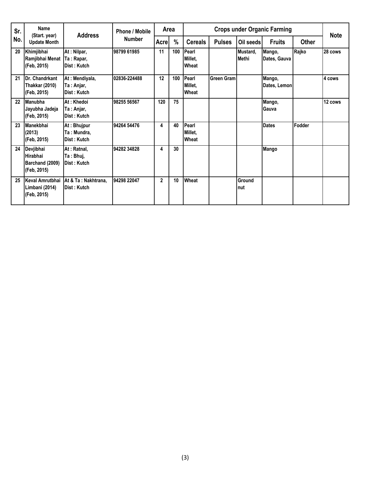| Sr. | <b>Name</b><br><b>Address</b><br>(Start. year)          |                                               | <b>Phone / Mobile</b> | Area           |               | <b>Crops under Organic Farming</b> |               |                          |                        |              | <b>Note</b> |
|-----|---------------------------------------------------------|-----------------------------------------------|-----------------------|----------------|---------------|------------------------------------|---------------|--------------------------|------------------------|--------------|-------------|
| No. | <b>Update Month</b>                                     |                                               | <b>Number</b>         | Acre           | $\frac{0}{0}$ | <b>Cereals</b>                     | <b>Pulses</b> | Oil seeds                | <b>Fruits</b>          | <b>Other</b> |             |
| 20  | Khimjibhai<br>Ramjibhai Menat<br>(Feb. 2015)            | At: Nilpar,<br>Ta: Rapar,<br>Dist: Kutch      | 98799 61985           | 11             | 100           | Pearl<br>Millet.<br>Wheat          |               | Mustard,<br><b>Methi</b> | Mango,<br>Dates, Gauva | Rajko        | 28 cows     |
| 21  | Dr. Chandrkant<br>Thakkar (2010)<br>(Feb, 2015)         | At: Mendiyala,<br>Ta : Anjar,<br>Dist : Kutch | 02836-224488          | 12             | 100           | Pearl<br>Millet.<br>Wheat          | Green Gram    |                          | Mango,<br>Dates, Lemon |              | 4 cows      |
| 22  | <b>Manubha</b><br>Jayubha Jadeja<br>(Feb, 2015)         | At: Khedoi<br>Ta: Anjar,<br>Dist: Kutch       | 98255 56567           | 120            | 75            |                                    |               |                          | Mango,<br><b>Gauva</b> |              | 12 cows     |
| 23  | Manekbhai<br>(2013)<br>(Feb, 2015)                      | At: Bhujpur<br>Ta : Mundra,<br>Dist: Kutch    | 94264 54476           | 4              | 40            | Pearl<br>Millet.<br>Wheat          |               |                          | <b>Dates</b>           | Fodder       |             |
| 24  | Devjibhai<br>Hirabhai<br>Barchand (2009)<br>(Feb, 2015) | At: Ratnal,<br>Ta : Bhuj,<br>Dist : Kutch     | 94282 34828           | 4              | 30            |                                    |               |                          | Mango                  |              |             |
| 25  | Keval Amrutbhai<br>Limbani (2014)<br>(Feb, 2015)        | At & Ta: Nakhtrana,<br>Dist : Kutch           | 94298 22047           | $\overline{2}$ | 10            | Wheat                              |               | Ground<br>nut            |                        |              |             |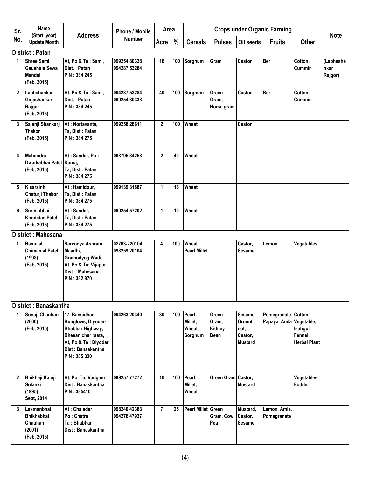| Sr.          | <b>Name</b>                                                         | <b>Address</b>                                                                                                                             | Phone / Mobile               | Area           |     |                                           |                                                |                                                        | <b>Crops under Organic Farming</b>             |                                            | <b>Note</b>                  |
|--------------|---------------------------------------------------------------------|--------------------------------------------------------------------------------------------------------------------------------------------|------------------------------|----------------|-----|-------------------------------------------|------------------------------------------------|--------------------------------------------------------|------------------------------------------------|--------------------------------------------|------------------------------|
| No.          | (Start. year)<br><b>Update Month</b>                                |                                                                                                                                            | <b>Number</b>                | <b>Acre</b>    | %   | <b>Cereals</b>                            | <b>Pulses</b>                                  | Oil seeds                                              | <b>Fruits</b>                                  | <b>Other</b>                               |                              |
|              | <b>District: Patan</b>                                              |                                                                                                                                            |                              |                |     |                                           |                                                |                                                        |                                                |                                            |                              |
| 1            | <b>Shree Sami</b><br>Gaushala Sewa<br><b>Mandal</b><br>(Feb, 2015)  | At, Po & Ta: Sami,<br>Dist.: Patan<br>PIN: 384 245                                                                                         | 099254 80338<br>094287 53284 | 16             | 100 | Sorghum                                   | Gram                                           | Castor                                                 | <b>Ber</b>                                     | Cotton,<br>Cummin                          | (Labhasha<br>nkar<br>Rajgor) |
| $\mathbf{2}$ | Labhshankar<br>Girjashankar<br>Rajgor<br>(Feb, 2015)                | At, Po & Ta: Sami,<br>Dist.: Patan<br>PIN: 384 245                                                                                         | 094287 53284<br>099254 80338 | 40             | 100 | Sorghum                                   | Green<br>Gram,<br>Horse gram                   | Castor                                                 | <b>Ber</b>                                     | Cotton,<br>Cummin                          |                              |
| 3            | Sajanji Shankarji<br><b>Thakor</b><br>(Feb, 2015)                   | At: Nortavanta,<br>Ta, Dist: Patan<br>PIN: 384 275                                                                                         | 099258 28611                 | $\mathbf{2}$   | 100 | Wheat                                     |                                                | Castor                                                 |                                                |                                            |                              |
| 4            | Mahendra<br>Dwarkabhai Patel Ranuj,<br>(Feb, 2015)                  | At: Sander, Po:<br>Ta, Dist: Patan<br><b>PIN: 384 275</b>                                                                                  | 098795 84258                 | $\overline{2}$ | 40  | Wheat                                     |                                                |                                                        |                                                |                                            |                              |
| 5            | <b>Kisarsinh</b><br>Chaturji Thakor<br>(Feb, 2015)                  | At: Hamidpur,<br>Ta, Dist: Patan<br><b>PIN: 384 275</b>                                                                                    | 099139 31887                 | 1              | 16  | Wheat                                     |                                                |                                                        |                                                |                                            |                              |
| 6            | Sureshbhai<br>Khodidas Patel<br>(Feb, 2015)                         | At: Sander,<br>Ta, Dist: Patan<br>PIN: 384 275                                                                                             | 099254 57202                 | 1              | 10  | Wheat                                     |                                                |                                                        |                                                |                                            |                              |
|              | District: Mahesana                                                  |                                                                                                                                            |                              |                |     |                                           |                                                |                                                        |                                                |                                            |                              |
| 1            | Ramulal<br><b>Chimanial Patel</b><br>(1998)<br>(Feb, 2015)          | Sarvodya Ashram<br>Maadhi,<br>Gramodyog Wadi,<br>At, Po & Ta: Vijapur<br>Dist.: Mahesana<br>PIN: 382 870                                   | 02763-220104<br>098259 20104 | 4              | 100 | Wheat,<br><b>Pearl Millet</b>             |                                                | Castor,<br><b>Sesame</b>                               | Lemon                                          | Vegetables                                 |                              |
|              | District: Banaskantha                                               |                                                                                                                                            |                              |                |     |                                           |                                                |                                                        |                                                |                                            |                              |
| 1            | Sonaji Chauhan<br>(2000)<br>(Feb, 2015)                             | 17, Bansidhar<br>Bunglows, Diyodar-<br>Bhabhar Highway,<br>Bhesan char rasta,<br>At, Po & Ta: Diyodar<br>Dist: Banaskantha<br>PIN: 385 330 | 094263 20340                 | 30             |     | 100 Pearl<br>Millet,<br>Wheat,<br>Sorghum | Green<br>Gram,<br><b>Kidney</b><br><b>Bean</b> | Sesame,<br>Grount<br>nut,<br>Castor,<br><b>Mustard</b> | Pomegranate Cotton,<br>Papaya, Amla Vegetable, | Isabgul,<br>Fennel,<br><b>Herbal Plant</b> |                              |
| $\mathbf{2}$ | <b>Bhikhaji Kaluji</b><br>Solanki<br>(1995)<br>Sept, 2014           | At, Po, Ta: Vadgam<br>Dist: Banaskantha<br><b>PIN: 385410</b>                                                                              | 099257 77272                 | 10             | 100 | Pearl<br>Millet,<br>Wheat                 | Green Gram Castor,                             | <b>Mustard</b>                                         |                                                | Vegetables,<br>Fodder                      |                              |
| 3            | Laxmanbhai<br><b>Bhikhabhai</b><br>Chauhan<br>(2001)<br>(Feb, 2015) | At: Chaladar<br>Po: Chatra<br>Ta: Bhabhar<br>Dist: Banaskantha                                                                             | 098240 42383<br>094276 47937 | $\overline{7}$ | 25  | <b>Pearl Millet Green</b>                 | Gram, Cow<br>Pea                               | Mustard,<br>Castor,<br><b>Sesame</b>                   | Lemon, Amla,<br>Pomegranate                    |                                            |                              |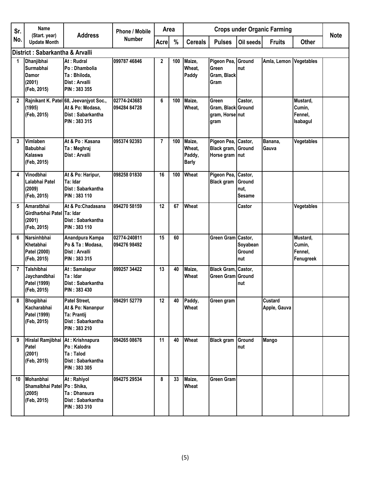| Sr.            | Name                                                                    | <b>Address</b>                                                                                   | Phone / Mobile               | Area           |     | <b>Crops under Organic Farming</b>         |                                                             |                                            | <b>Note</b>             |                                            |  |
|----------------|-------------------------------------------------------------------------|--------------------------------------------------------------------------------------------------|------------------------------|----------------|-----|--------------------------------------------|-------------------------------------------------------------|--------------------------------------------|-------------------------|--------------------------------------------|--|
| No.            | (Start. year)<br><b>Update Month</b>                                    |                                                                                                  | Number                       | <b>Acre</b>    | %   | <b>Cereals</b>                             | <b>Pulses</b>                                               | Oil seeds                                  | <b>Fruits</b>           | <b>Other</b>                               |  |
|                | District: Sabarkantha & Arvalli                                         |                                                                                                  |                              |                |     |                                            |                                                             |                                            |                         |                                            |  |
| 1              | Dhanjibhai<br><b>Surmabhai</b><br><b>Damor</b><br>(2001)<br>(Feb, 2015) | At: Rudral<br>Po: Dhambolia<br>Ta: Bhiloda.<br>Dist: Arvalli<br>PIN: 383 355                     | 099787 46846                 | $\mathbf{2}$   | 100 | Maize,<br>Wheat,<br>Paddy                  | Pigeon Pea, Ground<br>Green<br>Gram, Black<br>Gram          | Inut                                       | Amla, Lemon             | Vegetables                                 |  |
| $\mathbf{2}$   | (1995)<br>(Feb, 2015)                                                   | Rajnikant K. Patel 68, Jeevanjyot Soc.,<br>At & Po: Modasa,<br>Dist: Sabarkantha<br>PIN: 383 315 | 02774-243683<br>094284 84728 | 6              | 100 | Maize,<br>Wheat,                           | Green<br>Gram, Black Ground<br>gram, Horse nut<br>gram      | Castor,                                    |                         | Mustard,<br>Cumin,<br>Fennel,<br>Isabagul  |  |
| 3              | Vimlaben<br><b>Babubhai</b><br><b>Kalaswa</b><br>(Feb, 2015)            | At & Po: Kasana<br>Ta: Meghraj<br>Dist: Arvalli                                                  | 095374 92393                 | $\overline{7}$ | 100 | Maize,<br>Wheat,<br>Paddy,<br><b>Barly</b> | Pigeon Pea, Castor,<br>Black gram, Ground<br>Horse gram nut |                                            | Banana,<br>Gauva        | Vegetables                                 |  |
| 4              | Vinodbhai<br>Lalabhai Patel<br>(2009)<br>(Feb, 2015)                    | At & Po: Haripur,<br>Ta: Idar<br>Dist: Sabarkantha<br>PIN: 383 110                               | 098258 01830                 | 16             | 100 | <b>Wheat</b>                               | Pigeon Pea,<br><b>Black gram</b>                            | Castor,<br>Ground<br>nut.<br><b>Sesame</b> |                         |                                            |  |
| 5              | Amaratbhai<br>Girdharbhai Patel Ta: Idar<br>(2001)<br>(Feb, 2015)       | At & Po:Chadasana<br>Dist: Sabarkantha<br>PIN: 383 110                                           | 094270 58159                 | 12             | 67  | Wheat                                      |                                                             | Castor                                     |                         | Vegetables                                 |  |
| 6              | Narsinhbhai<br>Khetabhai<br>Patel (2000)<br>(Feb, 2015)                 | Anandpura Kampa<br>Po & Ta: Modasa,<br>Dist: Arvalli<br>PIN: 383 315                             | 02774-240811<br>094276 98492 | 15             | 60  |                                            | Green Gram Castor,                                          | Soyabean<br>Ground<br>nut                  |                         | Mustard,<br>Cumin,<br>Fennel,<br>Fenugreek |  |
| $\overline{7}$ | Talshibhai<br>Jaychandbhai<br>Patel (1999)<br>(Feb, 2015)               | At: Samalapur<br>Ta: Idar<br>Dist: Sabarkantha<br>PIN: 383 430                                   | 099257 34422                 | 13             | 40  | Maize,<br>Wheat                            | Black Gram, Castor,<br>Green Gram Ground                    | nut                                        |                         |                                            |  |
| 8              | Bhogibhai<br>Kacharabhai<br>Patel (1999)<br>(Feb, 2015)                 | Patel Street,<br>At & Po: Nananpur<br>Ta: Prantij<br>Dist: Sabarkantha<br>PIN: 383 210           | 094291 52779                 | 12             | 40  | Paddy,<br>Wheat                            | Green gram                                                  |                                            | Custard<br>Apple, Gauva |                                            |  |
| 9              | Hiralal Ramjibhai At: Krishnapura<br>Patel<br>(2001)<br>(Feb, 2015)     | Po: Kalodra<br>Ta: Talod<br>Dist: Sabarkantha<br>PIN: 383 305                                    | 094265 08676                 | 11             | 40  | Wheat                                      | <b>Black gram</b>                                           | Ground<br>nut                              | Mango                   |                                            |  |
| 10             | Mohanbhai<br>Shamalbhai Patel Po: Shika,<br>(2005)<br>(Feb, 2015)       | At: Rahiyol<br>Ta: Dhansura<br>Dist: Sabarkantha<br>PIN: 383 310                                 | 094275 29534                 | 8              | 33  | Maize,<br>Wheat                            | <b>Green Gram</b>                                           |                                            |                         |                                            |  |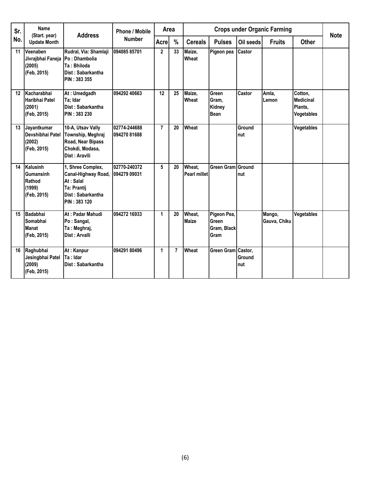| Sr.     | Name                                                            | <b>Address</b>                                                                                            | <b>Phone / Mobile</b>        | Area           | <b>Crops under Organic Farming</b> |                        |                                             |                | <b>Note</b>            |                                               |  |
|---------|-----------------------------------------------------------------|-----------------------------------------------------------------------------------------------------------|------------------------------|----------------|------------------------------------|------------------------|---------------------------------------------|----------------|------------------------|-----------------------------------------------|--|
| No.     | (Start. year)<br><b>Update Month</b>                            |                                                                                                           | <b>Number</b>                | Acre           | $\frac{0}{0}$                      | <b>Cereals</b>         | <b>Pulses</b>                               | Oil seeds      | <b>Fruits</b>          | <b>Other</b>                                  |  |
| 11      | Veenaben<br>Jivrajbhai Faneja<br>(2005)<br>(Feb, 2015)          | Rudral, Via: Shamlaji<br>Po: Dhambolia<br>Ta: Bhiloda<br>Dist: Sabarkantha<br>PIN: 383 355                | 09408585701                  | $\overline{2}$ | 33                                 | Maize,<br>Wheat        | Pigeon pea                                  | Castor         |                        |                                               |  |
| $12 \,$ | Kacharabhai<br>Haribhai Patel<br>(2001)<br>(Feb, 2015)          | At: Umedgadh<br>Ta; Idar<br>Dist: Sabarkantha<br>PIN: 383 230                                             | 094292 40663                 | 12             | 25                                 | Maize,<br>Wheat        | Green<br>Gram,<br>Kidney<br>Bean            | Castor         | Amla,<br>Lemon         | Cotton.<br>Medicinal<br>Plants,<br>Vegetables |  |
| 13      | Jayantkumar<br>Devshibhai Patel<br>(2002)<br>(Feb, 2015)        | 10-A, Utsav Vally<br>Township, Meghraj<br>Road, Near Bipass<br>Chokdi, Modasa,<br>Dist: Aravlli           | 02774-244688<br>094270 81688 | $\overline{7}$ | 20                                 | Wheat                  |                                             | Ground<br>Inut |                        | Vegetables                                    |  |
| 14      | Kalusinh<br><b>Gumansinh</b><br>Rathod<br>(1999)<br>(Feb, 2015) | 1, Shree Complex,<br>Canal-Highway Road,<br>At: Salal<br>Ta: Prantij<br>Dist: Sabarkantha<br>PIN: 383 120 | 02770-240372<br>094279 09031 | 5              | 20                                 | Wheat,<br>Pearl millet | Green Gram Ground                           | Inut           |                        |                                               |  |
| 15      | Badabhai<br>Somabhai<br><b>Manat</b><br>(Feb, 2015)             | At: Padar Mahudi<br>Po: Sangal,<br>Ta: Meghraj,<br>Dist: Arvalli                                          | 094272 16933                 | 1              | 20                                 | Wheat.<br><b>Maize</b> | Pigeon Pea,<br>Green<br>Gram, Black<br>Gram |                | Mango,<br>Gauva, Chiku | Vegetables                                    |  |
| 16      | Raghubhai<br>Jesingbhai Patel<br>(2009)<br>(Feb, 2015)          | At: Kanpur<br>Ta : Idar<br>Dist: Sabarkantha                                                              | 094291 80496                 | 1              | $\overline{7}$                     | Wheat                  | Green Gram Castor,                          | Ground<br>Inut |                        |                                               |  |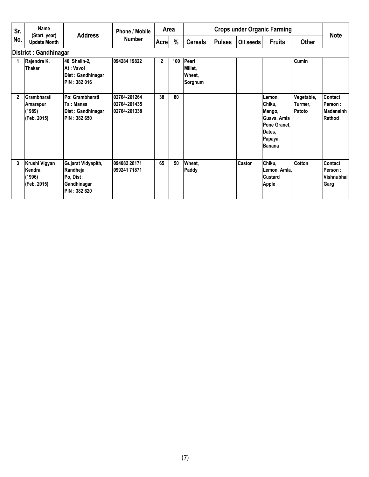| Sr.<br>(Start. year) | Name                                             | <b>Address</b>                                                             | <b>Phone / Mobile</b>                        | Area         |     | <b>Crops under Organic Farming</b>    |               |               |                                                                                          |                                 | <b>Note</b>                                     |
|----------------------|--------------------------------------------------|----------------------------------------------------------------------------|----------------------------------------------|--------------|-----|---------------------------------------|---------------|---------------|------------------------------------------------------------------------------------------|---------------------------------|-------------------------------------------------|
| No.                  | <b>Update Month</b>                              |                                                                            | <b>Number</b>                                | Acrel        | %   | <b>Cereals</b>                        | <b>Pulses</b> | Oil seeds     | <b>Fruits</b>                                                                            | <b>Other</b>                    |                                                 |
|                      | <b>District: Gandhinagar</b>                     |                                                                            |                                              |              |     |                                       |               |               |                                                                                          |                                 |                                                 |
|                      | Rajendra K.<br>Thakar                            | 40, Shalin-2,<br>At: Vavol<br>Dist: Gandhinagar<br>PIN : 382 016           | 094284 19822                                 | $\mathbf{2}$ | 100 | Pearl<br>Millet,<br>Wheat,<br>Sorghum |               |               |                                                                                          | <b>Cumin</b>                    |                                                 |
| $\overline{2}$       | Grambharati<br>Amarapur<br>(1989)<br>(Feb, 2015) | Po: Grambharati<br>Ta : Mansa<br>Dist: Gandhinagar<br><b>PIN: 382 650</b>  | 02764-261264<br>02764-261435<br>02764-261338 | 38           | 80  |                                       |               |               | Lemon.<br>Chiku,<br>Mango,<br>Guava, Amla<br>Pone Granet.<br>Dates,<br>Papaya,<br>Banana | Vegetable,<br>Turmer,<br>Patoto | Contact<br>Person :<br>Madansinh<br>Rathod      |
| 3                    | Krushi Vigyan<br>Kendra<br>(1996)<br>(Feb, 2015) | Gujarat Vidyapith,<br>Randheja<br>Po, Dist:<br>Gandhinagar<br>PIN: 382 620 | 094082 28171<br>099241 71871                 | 65           | 50  | Wheat,<br>Paddy                       |               | <b>Castor</b> | Chiku,<br>Lemon, Amla,<br>Custard<br><b>Apple</b>                                        | <b>Cotton</b>                   | Contact<br>Person:<br><b>Vishnubhai</b><br>Garg |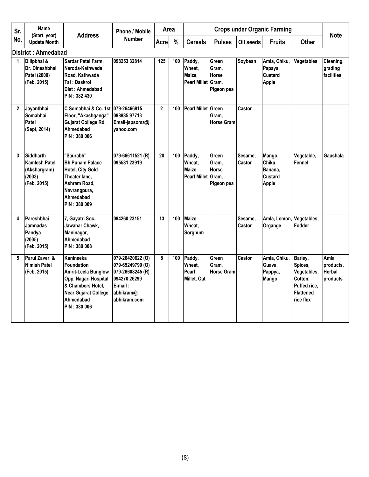| Sr.          | <b>Name</b><br>(Start. year)                                               | <b>Address</b>                                                                                                                                                 | <b>Phone / Mobile</b>                                                                                            |                | <b>Crops under Organic Farming</b><br>Area |                                                  |                                              |                   | <b>Note</b>                                                   |                                                                                               |                                                |
|--------------|----------------------------------------------------------------------------|----------------------------------------------------------------------------------------------------------------------------------------------------------------|------------------------------------------------------------------------------------------------------------------|----------------|--------------------------------------------|--------------------------------------------------|----------------------------------------------|-------------------|---------------------------------------------------------------|-----------------------------------------------------------------------------------------------|------------------------------------------------|
| No.          | <b>Update Month</b>                                                        |                                                                                                                                                                | <b>Number</b>                                                                                                    | Acre           | $\frac{0}{0}$                              | <b>Cereals</b>                                   | <b>Pulses</b>                                | Oil seeds         | <b>Fruits</b>                                                 | <b>Other</b>                                                                                  |                                                |
|              | <b>District: Ahmedabad</b>                                                 |                                                                                                                                                                |                                                                                                                  |                |                                            |                                                  |                                              |                   |                                                               |                                                                                               |                                                |
| 1            | Dilipbhai &<br>Dr. Dineshbhai<br>Patel (2000)<br>(Feb, 2015)               | Sardar Patel Farm,<br>Naroda-Kathwada<br>Road, Kathwada<br>Tal : Daskroi<br>Dist: Ahmedabad<br>PIN : 382 430                                                   | 098253 32814                                                                                                     | 125            | 100                                        | Paddy,<br>Wheat,<br>Maize,<br>Pearl Millet Gram, | Green<br>Gram.<br>Horse<br>Pigeon pea        | Soybean           | Amla, Chiku,<br>Papaya,<br><b>Custard</b><br>Apple            | Vegetables                                                                                    | Cleaning,<br>grading<br>facilities             |
| $\mathbf{2}$ | Jayantbhai<br>Somabhai<br>Patel<br>(Sept, 2014)                            | C Somabhai & Co. 1st I079-26466815<br>Floor, "Akashganga"<br>Gujarat College Rd.<br>Ahmedabad<br>PIN: 380 006                                                  | 098985 97713<br>Email-jspsoma@<br>vahoo.com                                                                      | $\overline{2}$ | 100                                        | <b>Pearl Millet Green</b>                        | Gram.<br><b>Horse Gram</b>                   | Castor            |                                                               |                                                                                               |                                                |
| 3            | <b>Siddharth</b><br>Kamlesh Patel<br>(Akshargram)<br>(2003)<br>(Feb, 2015) | "Saurabh"<br><b>Bh.Punam Palace</b><br>Hotel, City Gold<br>Theater lane,<br>Ashram Road.<br>Navrangpura,<br>Ahmedabad<br>PIN: 380 009                          | 079-66611521 (R)<br>095581 23919                                                                                 | 20             | 100                                        | Paddy,<br>Wheat,<br>Maize.<br>Pearl Millet Gram. | Green<br>Gram.<br><b>Horse</b><br>Pigeon pea | Sesame.<br>Castor | Mango,<br>Chiku,<br>Banana.<br><b>Custard</b><br><b>Apple</b> | Vegetable,<br>Fennel                                                                          | Gaushala                                       |
| 4            | Pareshbhai<br>Jamnadas<br>Pandya<br>(2005)<br>(Feb, 2015)                  | 7, Gayatri Soc.,<br>Jawahar Chawk,<br>Maninagar,<br>Ahmedabad<br>PIN: 380 008                                                                                  | 094260 23151                                                                                                     | 13             | 100                                        | Maize.<br>Wheat,<br>Sorghum                      |                                              | Sesame,<br>Castor | Amla, Lemon,<br>Organge                                       | Vegetables,<br>Fodder                                                                         |                                                |
| 5            | Parul Zaveri &<br><b>Nimish Patel</b><br>(Feb, 2015)                       | Kanineeka<br><b>Foundation</b><br>Amrit-Leela Bunglow<br>Opp. Nagari Hospital<br>& Chambers Hotel.<br><b>Near Gujarat College</b><br>Ahmedabad<br>PIN: 380 006 | 079-26420622 (O)<br>079-65249799 (O)<br>079-26608245 (R)<br>094270 26299<br>E-mail:<br>abhikram@<br>abhikram.com | 8              | 100                                        | Paddy,<br>Wheat.<br>Pearl<br>Millet, Oat         | Green<br>Gram.<br><b>Horse Gram</b>          | Castor            | Amla, Chiku,<br>Guava,<br>Pappya,<br>Mango                    | Barley,<br>Spices,<br>Vegetables,<br>Cotton,<br>Puffed rice.<br><b>Flattened</b><br>rice flex | Amla<br>products.<br><b>Herbal</b><br>products |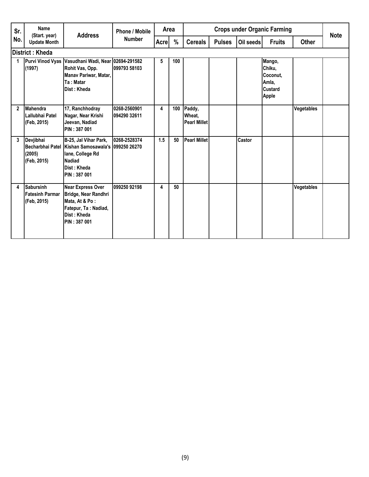| Sr.            | Name<br>(Start. year)                                     | <b>Address</b>                                                                                                                                        | <b>Phone / Mobile</b>        | Area        |     |                                         |               |           | <b>Crops under Organic Farming</b>                        |              | <b>Note</b> |
|----------------|-----------------------------------------------------------|-------------------------------------------------------------------------------------------------------------------------------------------------------|------------------------------|-------------|-----|-----------------------------------------|---------------|-----------|-----------------------------------------------------------|--------------|-------------|
| No.            | <b>Update Month</b>                                       |                                                                                                                                                       | <b>Number</b>                | <b>Acre</b> | %   | <b>Cereals</b>                          | <b>Pulses</b> | Oil seeds | <b>Fruits</b>                                             | <b>Other</b> |             |
|                | <b>District: Kheda</b>                                    |                                                                                                                                                       |                              |             |     |                                         |               |           |                                                           |              |             |
| 1              | (1997)                                                    | Purvi Vinod Vyas   Vasudhani Wadi, Near 02694-291582<br>Rohit Vas, Opp.<br>Manav Pariwar, Matar,<br>Ta: Matar<br>Dist: Kheda                          | 099793 58103                 | 5           | 100 |                                         |               |           | Mango,<br>Chiku,<br>Coconut,<br>Amla,<br>Custard<br>Apple |              |             |
| $\overline{2}$ | <b>Mahendra</b><br>Lallubhai Patel<br>(Feb. 2015)         | 17, Ranchhodray<br>Nagar, Near Krishi<br>Jeevan, Nadiad<br>PIN: 387 001                                                                               | 0268-2560901<br>094290 32611 | 4           | 100 | Paddy,<br>Wheat,<br><b>Pearl Millet</b> |               |           |                                                           | Vegetables   |             |
| 3              | Devjibhai<br>(2005)<br>(Feb, 2015)                        | B-25, Jal Vihar Park,<br>Becharbhai Patel Kishan Samosawala's 099250 26270<br>lane, College Rd<br><b>Nadiad</b><br>Dist: Kheda<br><b>PIN: 387 001</b> | 0268-2528374                 | 1.5         | 50  | <b>Pearl Millet</b>                     |               | Castor    |                                                           |              |             |
| 4              | <b>Sabursinh</b><br><b>Fatesinh Parmar</b><br>(Feb, 2015) | <b>Near Express Over</b><br>Bridge, Near Randhri<br>Mata, At & Po:<br>Fatepur, Ta: Nadiad,<br>Dist: Kheda<br>PIN : 387 001                            | 099250 92198                 | 4           | 50  |                                         |               |           |                                                           | Vegetables   |             |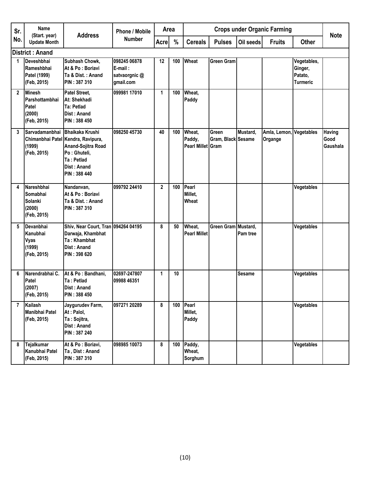| Sr.            | <b>Name</b>                                                       | <b>Address</b>                                                                                                                                  | <b>Phone / Mobile</b>                                 | Area         |     |                                       |                             |           | <b>Crops under Organic Farming</b> |                                               | <b>Note</b>                |
|----------------|-------------------------------------------------------------------|-------------------------------------------------------------------------------------------------------------------------------------------------|-------------------------------------------------------|--------------|-----|---------------------------------------|-----------------------------|-----------|------------------------------------|-----------------------------------------------|----------------------------|
| No.            | (Start. year)<br><b>Update Month</b>                              |                                                                                                                                                 | <b>Number</b>                                         | <b>Acre</b>  | %   | <b>Cereals</b>                        | <b>Pulses</b>               | Oil seeds | <b>Fruits</b>                      | <b>Other</b>                                  |                            |
|                | District: Anand                                                   |                                                                                                                                                 |                                                       |              |     |                                       |                             |           |                                    |                                               |                            |
| 1              | Deveshbhai<br>Rameshbhai<br>Patel (1999)<br>(Feb, 2015)           | Subhash Chowk,<br>At & Po: Boriavi<br>Ta & Dist.: Anand<br><b>PIN: 387 310</b>                                                                  | 098245 06878<br>E-mail:<br>satvaorgnic @<br>gmail.com | 12           | 100 | Wheat                                 | <b>Green Gram</b>           |           |                                    | Vegetables,<br>Ginger,<br>Patato,<br>Turmeric |                            |
| $\overline{2}$ | <b>Minesh</b><br>Parshottambhai<br>Patel<br>(2000)<br>(Feb, 2015) | Patel Street,<br>At: Shekhadi<br><b>Ta: Petlad</b><br>Dist: Anand<br>PIN: 388 450                                                               | 099981 17010                                          | 1            | 100 | Wheat,<br>Paddy                       |                             |           |                                    |                                               |                            |
| 3              | Sarvadamanbhai<br>(1999)<br>(Feb, 2015)                           | <b>Bhaikaka Krushi</b><br>Chimanbhai Patel Kendra, Ravipura,<br>Anand-Sojitra Road<br>Po: Ghuteli,<br>Ta: Petlad<br>Dist: Anand<br>PIN: 388 440 | 098250 45730                                          | 40           | 100 | Wheat,<br>Paddy,<br>Pearl Millet Gram | Green<br>Gram, Black Sesame | Mustard,  | Amla, Lemon,<br>Organge            | <b>Vegetables</b>                             | Having<br>Good<br>Gaushala |
| 4              | Nareshbhai<br>Somabhai<br>Solanki<br>(2000)<br>(Feb, 2015)        | Nandanvan,<br>At & Po: Boriavi<br>Ta & Dist.: Anand<br>PIN: 387 310                                                                             | 099792 24410                                          | $\mathbf{2}$ | 100 | Pearl<br>Millet,<br>Wheat             |                             |           |                                    | Vegetables                                    |                            |
| 5              | Devanbhai<br>Kanubhai<br>Vyas<br>(1999)<br>(Feb, 2015)            | Shiv, Near Court, Tran 094264 04195<br>Darwaja, Khambhat<br>Ta: Khambhat<br>Dist: Anand<br>PIN: 398 620                                         |                                                       | 8            | 50  | Wheat,<br><b>Pearl Millet</b>         | Green Gram Mustard.         | Pam tree  |                                    | Vegetables                                    |                            |
| 6              | Narendrabhai C.<br>Patel<br>(2007)<br>(Feb, 2015)                 | At & Po: Bandhani,<br>Ta: Petlad<br><b>Dist: Anand</b><br>PIN: 388 450                                                                          | 02697-247807<br>09988 46351                           | 1            | 10  |                                       |                             | Sesame    |                                    | Vegetables                                    |                            |
| $\overline{7}$ | Kailash<br>Manibhai Patel<br>(Feb, 2015)                          | Jaygurudev Farm,<br>At : Palol,<br>Ta: Sojitra,<br>Dist: Anand<br>PIN: 387 240                                                                  | 097271 20289                                          | 8            | 100 | Pearl<br>Millet,<br>Paddy             |                             |           |                                    | Vegetables                                    |                            |
| 8              | <b>Tejalkumar</b><br>Kanubhai Patel<br>(Feb, 2015)                | At & Po: Boriavi,<br>Ta, Dist: Anand<br>PIN: 387 310                                                                                            | 098985 10073                                          | 8            | 100 | Paddy,<br>Wheat,<br>Sorghum           |                             |           |                                    | Vegetables                                    |                            |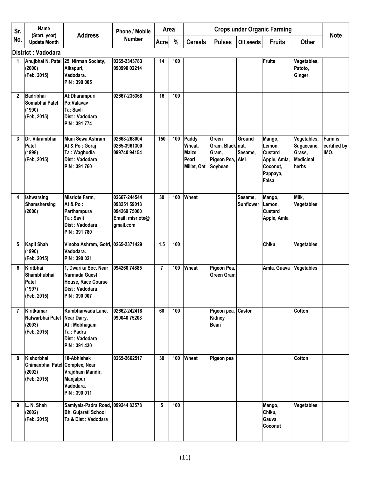| Sr.          | Name                                                                       |                                                                                                      | <b>Phone / Mobile</b>                                                         | Area           |     |                                                   |                                                                   |                             | <b>Crops under Organic Farming</b>                                                  |                                                                  |                                 |
|--------------|----------------------------------------------------------------------------|------------------------------------------------------------------------------------------------------|-------------------------------------------------------------------------------|----------------|-----|---------------------------------------------------|-------------------------------------------------------------------|-----------------------------|-------------------------------------------------------------------------------------|------------------------------------------------------------------|---------------------------------|
| No.          | (Start. year)<br><b>Update Month</b>                                       | <b>Address</b>                                                                                       | <b>Number</b>                                                                 | <b>Acre</b>    | %   | <b>Cereals</b>                                    | <b>Pulses</b>                                                     | Oil seeds                   | <b>Fruits</b>                                                                       | <b>Other</b>                                                     | <b>Note</b>                     |
|              | District: Vadodara                                                         |                                                                                                      |                                                                               |                |     |                                                   |                                                                   |                             |                                                                                     |                                                                  |                                 |
| 1            | (2000)<br>(Feb, 2015)                                                      | Anujbhai N. Patel 25, Nirman Society,<br>Alkapuri,<br>Vadodara.<br>PIN: 390 005                      | 0265-2343783<br>090990 02214                                                  | 14             | 100 |                                                   |                                                                   |                             | <b>Fruits</b>                                                                       | Vegetables,<br>Patoto,<br>Ginger                                 |                                 |
| $\mathbf{2}$ | <b>Badribhai</b><br>Somabhai Patel<br>(1990)<br>(Feb, 2015)                | At:Dharampuri<br>Po:Valavav<br>Ta: Savli<br>Dist: Vadodara<br>PIN: 391 774                           | 02667-235368                                                                  | 16             | 100 |                                                   |                                                                   |                             |                                                                                     |                                                                  |                                 |
| 3            | Dr. Vikrambhai<br>Patel<br>(1998)<br>(Feb, 2015)                           | <b>Muni Sewa Ashram</b><br>At & Po : Goraj<br>Ta: Waghodia<br>Dist: Vadodara<br>PIN: 391 760         | 02668-268004<br>0265-3961300<br>099740 94154                                  | 150            | 100 | Paddy<br>Wheat,<br>Maize,<br>Pearl<br>Millet, Oat | Green<br>Gram, Black nut,<br>Gram,<br>Pigeon Pea, Alsi<br>Soybean | Ground<br>Sesame,           | Mango,<br>Lemon,<br><b>Custard</b><br>Apple, Amla,<br>Coconut,<br>Pappaya,<br>Falsa | Vegetables,<br>Sugaecane,<br>Grass,<br><b>Medicinal</b><br>herbs | Farm is<br>certified by<br>IMO. |
| 4            | Ishwarsing<br><b>Shamshersing</b><br>(2000)                                | Misriote Farm,<br>At & Po:<br>Parthampura<br>Ta: Savli<br>Dist: Vadodara<br>PIN: 391 780             | 02667-244544<br>098251 59013<br>094269 75060<br>Email: misriote@<br>gmail.com | 30             | 100 | Wheat                                             |                                                                   | Sesame,<br><b>Sunflower</b> | Mango,<br>Lemon,<br><b>Custard</b><br>Apple, Amla                                   | Milk,<br>Vegetables                                              |                                 |
| 5            | <b>Kapil Shah</b><br>(1990)<br>(Feb, 2015)                                 | Vinoba Ashram, Gotri, 0265-2371429<br>Vadodara.<br>PIN: 390 021                                      |                                                                               | 1.5            | 100 |                                                   |                                                                   |                             | Chiku                                                                               | Vegetables                                                       |                                 |
| 6            | Kiritbhai<br>Shambhubhai<br>Patel<br>(1997)<br>(Feb, 2015)                 | 1. Dwarika Soc. Near<br>Narmada Guest<br>House, Race Course<br>Dist: Vadodara<br><b>PIN: 390 007</b> | 094260 74885                                                                  | $\overline{7}$ | 100 | Wheat                                             | Pigeon Pea,<br>Green Gram                                         |                             | Amla, Guava                                                                         | Vegetables                                                       |                                 |
| 7            | <b>Kiritkumar</b><br>Natwarbhai Patel Near Dairy,<br>(2003)<br>(Feb, 2015) | Kumbharwada Lane,<br>At: Mobhagam<br>Ta: Padra<br>Dist: Vadodara<br>PIN: 391 430                     | 02662-242418<br>099040 75208                                                  | 60             | 100 |                                                   | Pigeon pea, Castor<br><b>Kidney</b><br>Bean                       |                             |                                                                                     | Cotton                                                           |                                 |
| 8            | Kishorbhai<br>Chimanbhai Patel Complex, Near<br>(2002)<br>(Feb, 2015)      | 18-Abhishek<br>Vrajdham Mandir,<br>Manjalpur<br>Vadodara.<br>PIN: 390 011                            | 0265-2662517                                                                  | 30             | 100 | Wheat                                             | Pigeon pea                                                        |                             |                                                                                     | Cotton                                                           |                                 |
| 9            | L. N. Shah<br>(2002)<br>(Feb, 2015)                                        | Samiyala-Padra Road, 099244 83578<br><b>Bh. Gujarati School</b><br>Ta & Dist: Vadodara               |                                                                               | 5              | 100 |                                                   |                                                                   |                             | Mango,<br>Chiku,<br>Gauva,<br>Coconut                                               | Vegetables                                                       |                                 |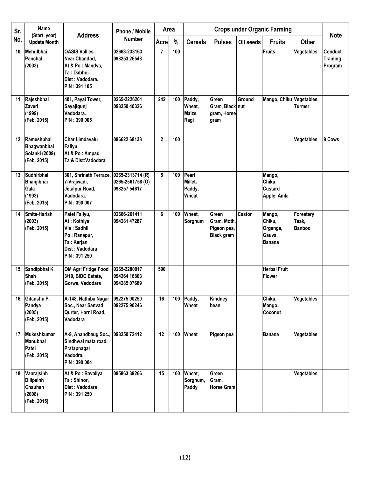| Sr. | <b>Name</b><br>(Start. year)                                       | <b>Address</b>                                                                                                     | <b>Phone / Mobile</b>                                |              | <b>Crops under Organic Farming</b><br>Area<br>%<br><b>Cereals</b><br><b>Pulses</b><br>Oil seeds<br><b>Fruits</b> |                                     |                                                                 |        |                                                         | <b>Note</b>                         |                                       |
|-----|--------------------------------------------------------------------|--------------------------------------------------------------------------------------------------------------------|------------------------------------------------------|--------------|------------------------------------------------------------------------------------------------------------------|-------------------------------------|-----------------------------------------------------------------|--------|---------------------------------------------------------|-------------------------------------|---------------------------------------|
| No. | <b>Update Month</b>                                                |                                                                                                                    | <b>Number</b>                                        | Acre         |                                                                                                                  |                                     |                                                                 |        |                                                         | <b>Other</b>                        |                                       |
| 10  | Mehulbhai<br>Panchal<br>(2003)                                     | <b>OASIS Vallies</b><br>Near Chandod,<br>At & Po: Mandva,<br>Ta: Dabhoi<br>Dist: Vadodara.<br>PIN: 391 105         | 02663-233163<br>098253 26548                         | 7            | 100                                                                                                              |                                     |                                                                 |        | Fruits                                                  | Vegetables                          | Conduct<br><b>Training</b><br>Program |
| 11  | Rajeshbhai<br>Zaveri<br>(1999)<br>(Feb, 2015)                      | 401, Payal Tower,<br>Sayajigunj<br>Vadodara.<br>PIN: 390 005                                                       | 0265-2226201<br>098250 40326                         | 242          | 100                                                                                                              | Paddy,<br>Wheat.<br>Maize,<br>Ragi  | Green<br>Gram, Black nut<br>gram, Horse<br>gram                 | Ground | Mango, Chiku                                            | Vegetables,<br><b>Turmer</b>        |                                       |
| 12  | Rameshbhai<br>Bhagwanbhai<br>Solanki (2009)<br>(Feb, 2015)         | <b>Char Limdavalu</b><br>Faliyu,<br>At & Po: Ampad<br>Ta & Dist:Vadodara                                           | 096622 68138                                         | $\mathbf{2}$ | 100                                                                                                              |                                     |                                                                 |        |                                                         | Vegetables                          | 9 Cows                                |
| 13  | Sudhirbhai<br>Bhanjibhai<br>Gala<br>(1993)<br>(Feb, 2015)          | 301, Shrinath Terrace,<br>7-Vrajwadi,<br>Jetalpur Road,<br>Vadodara.<br>PIN: 390 007                               | 0265-2313714 (R)<br>0265-2561758 (O)<br>098257 54617 | 5            | 100                                                                                                              | Pearl<br>Millet.<br>Paddy,<br>Wheat |                                                                 |        | Mango,<br>Chiku,<br><b>Custard</b><br>Apple, Amla       |                                     |                                       |
| 14  | Smita-Harish<br>(2003)<br>(Feb, 2015)                              | Patel Faliyu,<br>At: Kothiya<br>Via: Sadhli<br>Po: Ranapur,<br>Ta: Karjan<br>Dist: Vadodara<br><b>PIN: 391 250</b> | 02666-261411<br>094281 47287                         | 6            | 100                                                                                                              | Wheat,<br>Sorghum                   | <b>Green</b><br>Gram, Moth,<br>Pigeon pea,<br><b>Black gram</b> | Castor | Mango,<br>Chiku,<br>Organge,<br>Gauva,<br><b>Banana</b> | Forestery<br>Teak,<br><b>Banboo</b> |                                       |
| 15  | Sandipbhai K<br><b>Shah</b><br>(Feb, 2015)                         | <b>OM Agri Fridge Food</b><br>3/10, BIDC Estate,<br>Gorwa, Vadodara                                                | 0265-2280017<br>094264 16803<br>094285 07689         | 500          |                                                                                                                  |                                     |                                                                 |        | <b>Herbal Fruit</b><br><b>Flower</b>                    |                                     |                                       |
| 16  | Gitanshu P.<br>Pandya<br>(2005)<br>(Feb, 2015)                     | A-148, Nathiba Nagar<br>Soc., Near Sanvad<br>Qurter, Harni Road,<br>Vadodara                                       | 092275 90250<br>092275 90246                         | 16           | 100                                                                                                              | Paddy,<br>Wheat                     | Kindney<br>bean                                                 |        | Chiku,<br>Mango,<br>Coconut                             | Vegetables                          |                                       |
| 17  | <b>Mukeshkumar</b><br><b>Manubhai</b><br>Patel<br>(Feb, 2015)      | A-9, Anandbaug Soc.,<br>Sindhwai mata road,<br>Pratapnagar,<br>Vadodra.<br>PIN: 390 004                            | 098250 72412                                         | 12           | 100                                                                                                              | Wheat                               | Pigeon pea                                                      |        | <b>Banana</b>                                           | Vegetables                          |                                       |
| 18  | Vanrajsinh<br><b>Dilipsinh</b><br>Chauhan<br>(2008)<br>(Feb, 2015) | At & Po: Bavaliya<br>Ta: Shinor,<br>Dist: Vadodara<br>PIN: 391 250                                                 | 095863 39266                                         | 15           | 100                                                                                                              | Wheat,<br>Sorghum,<br>Paddy         | Green<br>Gram,<br><b>Horse Gram</b>                             |        |                                                         | Vegetables                          |                                       |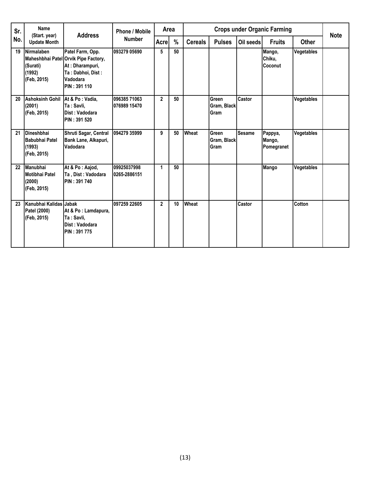| Sr. | Name<br>(Start. year)                                        | <b>Address</b>                                                                                                               | <b>Phone / Mobile</b><br><b>Number</b> | Area           |      |                |                                     |               | <b>Crops under Organic Farming</b> |              | <b>Note</b> |
|-----|--------------------------------------------------------------|------------------------------------------------------------------------------------------------------------------------------|----------------------------------------|----------------|------|----------------|-------------------------------------|---------------|------------------------------------|--------------|-------------|
| No. | <b>Update Month</b>                                          |                                                                                                                              |                                        | Acre           | $\%$ | <b>Cereals</b> | <b>Pulses</b>                       | Oil seeds     | <b>Fruits</b>                      | <b>Other</b> |             |
| 19  | <b>Nirmalaben</b><br>(Surati)<br>(1992)<br>(Feb, 2015)       | Patel Farm, Opp.<br>Maheshbhai Patel Orvik Pipe Factory,<br>At: Dharampuri,<br>Ta: Dabhoi, Dist:<br>Vadodara<br>PIN: 391 110 | 093279 05690                           | 5              | 50   |                |                                     |               | Mango,<br>Chiku,<br>Coconut        | Vegetables   |             |
| 20  | Ashoksinh Gohil   At & Po: Vadia,<br>(2001)<br>(Feb, 2015)   | Ta: Savli,<br>Dist: Vadodara<br>PIN: 391 520                                                                                 | 096385 71063<br>076989 15470           | $\overline{2}$ | 50   |                | Green<br>Gram, Black<br><b>Gram</b> | Castor        |                                    | Vegetables   |             |
| 21  | <b>Dineshbhai</b><br>Babubhai Patel<br>(1993)<br>(Feb, 2015) | Shruti Sagar, Central<br>Bank Lane, Alkapuri,<br>Vadodara                                                                    | 094279 35999                           | 9              | 50   | Wheat          | Green<br>Gram, Black<br>Gram        | <b>Sesame</b> | Pappya,<br>Mango,<br>Pomegranet    | Vegetables   |             |
| 22  | Manubhai<br>Motibhai Patel<br>(2000)<br>(Feb, 2015)          | At & Po: Aajod,<br>Ta, Dist: Vadodara<br>PIN: 391 740                                                                        | 09925037998<br>0265-2886151            | 1              | 50   |                |                                     |               | Mango                              | Vegetables   |             |
| 23  | Kanubhai Kalidas Jabak<br>Patel (2000)<br>(Feb, 2015)        | At & Po: Lamdapura,<br>Ta: Savli,<br>Dist: Vadodara<br>PIN: 391 775                                                          | 097259 22605                           | $\overline{2}$ | 10   | Wheat          |                                     | Castor        |                                    | Cotton       |             |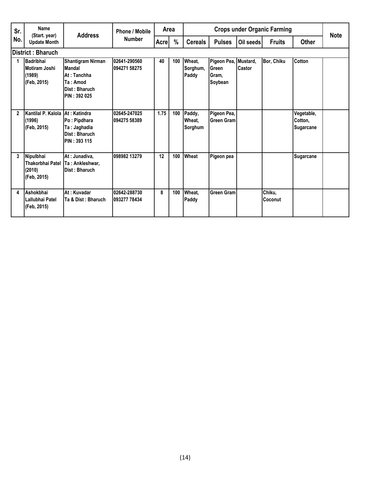| Sr.<br>No.   | Name<br>(Start. year)                                      | <b>Address</b>                                                                                               | Phone / Mobile               | Area  |               |                             |                                                   |           | <b>Crops under Organic Farming</b> |                                           | <b>Note</b> |
|--------------|------------------------------------------------------------|--------------------------------------------------------------------------------------------------------------|------------------------------|-------|---------------|-----------------------------|---------------------------------------------------|-----------|------------------------------------|-------------------------------------------|-------------|
|              | <b>Update Month</b>                                        |                                                                                                              | <b>Number</b>                | Acrel | $\frac{0}{0}$ | <b>Cereals</b>              | <b>Pulses</b>                                     | Oil seeds | <b>Fruits</b>                      | <b>Other</b>                              |             |
|              | District: Bharuch                                          |                                                                                                              |                              |       |               |                             |                                                   |           |                                    |                                           |             |
|              | <b>Badribhai</b><br>Motiram Joshi<br>(1989)<br>(Feb, 2015) | <b>Shantigram Nirman</b><br><b>Mandal</b><br>At: Tanchha<br>Ta: Amod<br>Dist: Bharuch<br><b>PIN: 392 025</b> | 02641-290560<br>094271 58275 | 40    | 100           | Wheat,<br>Sorghum,<br>Paddy | Pigeon Pea, Mustard,<br>Green<br>Gram.<br>Soybean | Castor    | Bor, Chiku                         | Cotton                                    |             |
| $\mathbf{2}$ | Kantilal P. Kalola<br>(1996)<br>(Feb. 2015)                | At: Katindra<br>Po: Pipdhara<br>Ta: Jaghadia<br>Dist: Bharuch<br><b>PIN: 393 115</b>                         | 02645-247025<br>094275 58389 | 1.75  | 100           | Paddy,<br>Wheat.<br>Sorghum | Pigeon Pea,<br><b>Green Gram</b>                  |           |                                    | Vegetable,<br>Cotton,<br><b>Sugarcane</b> |             |
| 3            | Nipulbhai<br>Thakorbhai Patel<br>(2010)<br>(Feb, 2015)     | At: Junadiva,<br>Ta: Ankleshwar,<br>Dist: Bharuch                                                            | 098982 13279                 | 12    | 100           | Wheat                       | Pigeon pea                                        |           |                                    | <b>Sugarcane</b>                          |             |
| 4            | Ashokbhai<br>Lallubhai Patel<br>(Feb, 2015)                | At: Kuvadar<br>Ta & Dist: Bharuch                                                                            | 02642-288730<br>093277 78434 | 8     | 100           | Wheat,<br>Paddy             | <b>Green Gram</b>                                 |           | Chiku,<br>Coconut                  |                                           |             |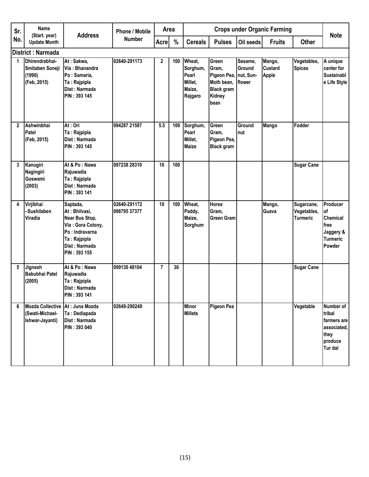| Sr.          | Name                                                          |                                                                                                                                     | Phone / Mobile               | Area           |     |                                                             |                                                                                              |                                    | <b>Crops under Organic Farming</b>       |                                       |                                                                                 |
|--------------|---------------------------------------------------------------|-------------------------------------------------------------------------------------------------------------------------------------|------------------------------|----------------|-----|-------------------------------------------------------------|----------------------------------------------------------------------------------------------|------------------------------------|------------------------------------------|---------------------------------------|---------------------------------------------------------------------------------|
| No.          | (Start. year)<br><b>Update Month</b>                          | <b>Address</b>                                                                                                                      | <b>Number</b>                | <b>Acre</b>    | %   | <b>Cereals</b>                                              | <b>Pulses</b>                                                                                | Oil seeds                          | <b>Fruits</b>                            | <b>Other</b>                          | <b>Note</b>                                                                     |
|              | District: Narmada                                             |                                                                                                                                     |                              |                |     |                                                             |                                                                                              |                                    |                                          |                                       |                                                                                 |
| 1            | Dhirendrabhai-<br>Smitaben Soneji<br>(1990)<br>(Feb, 2015)    | At: Sakwa,<br>Via: Bhanandra<br>Po: Samaria,<br>Ta: Rajpipla<br>Dist: Narmada<br>PIN: 393 145                                       | 02640-291173                 | $\overline{2}$ | 100 | Wheat,<br>Sorghum,<br>Pearl<br>Millet,<br>Maize,<br>Rajgaro | Green<br>Gram,<br>Pigeon Pea, nut, Sun-<br>Moth bean,<br><b>Black gram</b><br>Kidney<br>bean | Sesame,<br><b>Ground</b><br>flower | Mango,<br><b>Custard</b><br><b>Apple</b> | Vegetables,<br><b>Spices</b>          | A unique<br>center for<br><b>Sustainabl</b><br>e Life Style                     |
| $\mathbf{2}$ | Ashwinbhai<br>Patel<br>(Feb, 2015)                            | At: Ori<br>Ta: Rajpipla<br>Dist: Narmada<br>PIN: 393 145                                                                            | 094287 21587                 | 5.5            | 100 | Sorghum,<br>Pearl<br>Millet,<br><b>Maize</b>                | Green<br>Gram,<br>Pigeon Pea,<br><b>Black gram</b>                                           | Ground<br>nut                      | <b>Mango</b>                             | Fodder                                |                                                                                 |
| 3            | Kanugiri<br>Nagingiri<br>Goswami<br>(2003)                    | At & Po: Nawa<br>Rajuwadia<br>Ta: Rajpipla<br>Dist: Narmada<br>PIN: 393 141                                                         | 097238 28310                 | 10             | 100 |                                                             |                                                                                              |                                    |                                          | <b>Sugar Cane</b>                     |                                                                                 |
| 4            | Virjibhai<br>-Sushilaben<br><b>Viradia</b>                    | Saptada,<br>At: Bhilvasi,<br>Near Bus Stop,<br>Via: Gora Colony,<br>Po: Indravarna<br>Ta: Rajpipla<br>Dist: Narmada<br>PIN: 393 155 | 02640-291172<br>098795 37377 | 10             | 100 | Wheat,<br>Paddy,<br>Maize,<br>Sorghum                       | Horse<br>Gram,<br><b>Green Gram</b>                                                          |                                    | Mango,<br>Guava                          | Sugarcane,<br>Vegetables,<br>Turmeric | Producer<br>оf<br>Chemical<br>free<br>Jaggery &<br><b>Turmeric</b><br>Powder    |
| 5            | Jignesh<br><b>Babubhai Patel</b><br>(2005)                    | At & Po: Nawa<br>Rajuwadia<br>Ta: Rajpipla<br>Dist: Narmada<br>PIN: 393 141                                                         | 099130 48104                 | $\overline{7}$ | 30  |                                                             |                                                                                              |                                    |                                          | <b>Sugar Cane</b>                     |                                                                                 |
| 6            | <b>Mozda Collective</b><br>(Swati-Michael-<br>Ishwar-Jayanti) | At: Juna Mozda<br>Ta: Dediapada<br>Dist: Narmada<br>PIN: 393 040                                                                    | 02649-290249                 |                |     | <b>Minor</b><br><b>Millets</b>                              | <b>Pigeon Pea</b>                                                                            |                                    |                                          | Vegetable                             | Number of<br>tribal<br>farmers are<br>associated,<br>they<br>produce<br>Tur dal |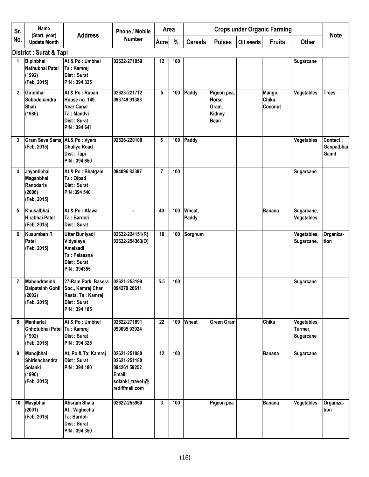| Sr.          | Name                                                                     |                                                                                                    | <b>Phone / Mobile</b>                                                                       |                | <b>Crops under Organic Farming</b><br>Area |                 |                                                               |           | <b>Note</b>                 |                                            |                                 |
|--------------|--------------------------------------------------------------------------|----------------------------------------------------------------------------------------------------|---------------------------------------------------------------------------------------------|----------------|--------------------------------------------|-----------------|---------------------------------------------------------------|-----------|-----------------------------|--------------------------------------------|---------------------------------|
| No.          | (Start. year)<br><b>Update Month</b>                                     | <b>Address</b>                                                                                     | <b>Number</b>                                                                               | <b>Acre</b>    | %                                          | <b>Cereals</b>  | <b>Pulses</b>                                                 | Oil seeds | <b>Fruits</b>               | <b>Other</b>                               |                                 |
|              | <b>District: Surat &amp; Tapi</b>                                        |                                                                                                    |                                                                                             |                |                                            |                 |                                                               |           |                             |                                            |                                 |
| 1            | Bipinbhai<br>Nathubhai Patel<br>(1992)<br>(Feb, 2015)                    | At & Po: Umbhel<br>Ta: Kamrej<br>Dist: Surat<br><b>PIN: 394 325</b>                                | 02622-271059                                                                                | 12             | 100                                        |                 |                                                               |           |                             | <b>Sugarcane</b>                           |                                 |
| $\mathbf{2}$ | Girinbhai<br><b>Subodchandra</b><br>Shah<br>(1986)                       | At & Po: Rupan<br>House no. 149,<br><b>Near Canal</b><br>Ta: Mandvi<br>Dist: Surat<br>PIN: 394 641 | 02623-221712<br>093749 91388                                                                | 5              | 100                                        | Paddy           | Pigeon pea,<br><b>Horse</b><br>Gram,<br>Kidney<br><b>Bean</b> |           | Mango,<br>Chiku,<br>Coconut | Vegetables                                 | <b>Trees</b>                    |
| 3            | Gram Seva Samaj At.& Po: Vyara<br>(Feb, 2015)                            | <b>Dhuliya Road</b><br>Dist: Tapi<br>PIN: 394 650                                                  | 02626-220108                                                                                | 5              | 100                                        | Paddy           |                                                               |           |                             | Vegetables                                 | Contact:<br>Ganpatbhai<br>Gamit |
| 4            | Jayantibhai<br>Maganbhai<br>Ranodaria<br>(2006)<br>(Feb, 2015)           | At & Po: Bhatgam<br>Ta: Olpad<br>Dist: Surat<br>PIN: 394 540                                       | 094096 83397                                                                                | $\overline{7}$ | 100                                        |                 |                                                               |           |                             | <b>Sugarcane</b>                           |                                 |
| 5            | Khusalbhai<br>Hirabhai Patel<br>(Feb, 2015)                              | At & Po: Afawa<br>Ta: Bardoli<br>Dist: Surat                                                       |                                                                                             | 40             | 100                                        | Wheat,<br>Paddy |                                                               |           | Banana                      | Sugarcane,<br>Vegetables                   |                                 |
| 6            | Kusumben R<br>Patel<br>(Feb, 2015)                                       | <b>Uttar Buniyadi</b><br>Vidyalaya<br>Amalsadi<br>Ta: Palasana<br>Dist: Surat<br>PIN: 394355       | 02622-224151(R)<br>02622-254363(O)                                                          | 10             | 100                                        | Sorghum         |                                                               |           |                             | Vegetables,<br>Sugarcane,                  | Organiza-<br>tion               |
| 7            | <b>Mahendrasinh</b><br><b>Dalpatsinh Gohil</b><br>(2002)<br>(Feb, 2015)  | 27-Ram Park, Basera<br>Soc., Kamrej Char<br>Rasta, Ta: Kamrej<br>Dist: Surat<br>PIN: 394 185       | 02621-253199<br>094279 26611                                                                | 5.5            | 100                                        |                 |                                                               |           |                             | <b>Sugarcane</b>                           |                                 |
| 8            | <b>Manharlal</b><br>Chhotubhai Patel Ta: Kamrej<br>(1992)<br>(Feb, 2015) | At & Po: Umbhel<br>Dist: Surat<br>PIN: 394 325                                                     | 02622-271891<br>099095 93924                                                                | 22             | 100                                        | Wheat           | Green Gram                                                    |           | <b>Chiku</b>                | Vegetables,<br>Turmer,<br><b>Sugarcane</b> |                                 |
| 9            | Manojbhai<br>Shirishchandra<br>Solanki<br>(1990)<br>(Feb, 2015)          | At, Po & Ta: Kamrej<br>Dist: Surat<br>PIN: 394 180                                                 | 02621-251080<br>02621-251180<br>094261 59252<br>Email:<br>solanki_travel@<br>rediffmail.com | 12             | 100                                        |                 |                                                               |           | Banana                      | <b>Sugarcane</b>                           |                                 |
| 10           | Mavjibhai<br>(2001)<br>(Feb, 2015)                                       | <b>Ahsram Shala</b><br>At: Vaghecha<br>Ta: Bardoli<br>Dist: Surat<br>PIN: 394 350                  | 02622-255960                                                                                | 3              | 100                                        |                 | Pigeon pea                                                    |           | <b>Banana</b>               | Vegetables                                 | Organiza-<br>tion               |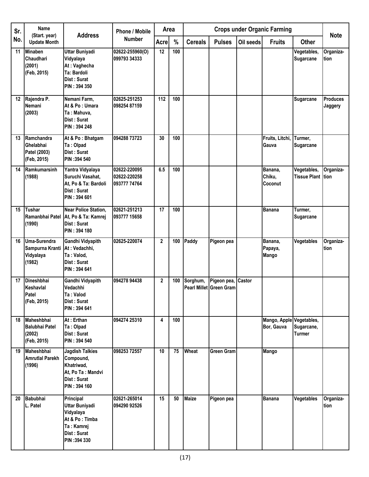| Sr. | Name<br>(Start. year)                                        | <b>Address</b>                                                                                          | <b>Phone / Mobile</b>                        | Area           |     |                |                                               |           | <b>Crops under Organic Farming</b>     |                                          | <b>Note</b>                |
|-----|--------------------------------------------------------------|---------------------------------------------------------------------------------------------------------|----------------------------------------------|----------------|-----|----------------|-----------------------------------------------|-----------|----------------------------------------|------------------------------------------|----------------------------|
| No. | <b>Update Month</b>                                          |                                                                                                         | <b>Number</b>                                | <b>Acre</b>    | %   | <b>Cereals</b> | <b>Pulses</b>                                 | Oil seeds | <b>Fruits</b>                          | <b>Other</b>                             |                            |
| 11  | <b>Minaben</b><br><b>Chaudhari</b><br>(2001)<br>(Feb, 2015)  | <b>Uttar Buniyadi</b><br>Vidyalaya<br>At: Vaghecha<br>Ta: Bardoli<br>Dist: Surat<br>PIN: 394 350        | 02622-255960(O)<br>099793 34333              | 12             | 100 |                |                                               |           |                                        | Vegetables,<br><b>Sugarcane</b>          | Organiza-<br>tion          |
| 12  | Rajendra P.<br>Nemani<br>(2003)                              | Nemani Farm,<br>At & Po: Umara<br>Ta: Mahuva.<br>Dist: Surat<br>PIN: 394 248                            | 02625-251253<br>098254 87159                 | 112            | 100 |                |                                               |           |                                        | Sugarcane                                | <b>Produces</b><br>Jaggery |
| 13  | Ramchandra<br>Ghelabhai<br>Patel (2003)<br>(Feb, 2015)       | At & Po: Bhatgam<br>Ta: Olpad<br>Dist: Surat<br>PIN: 394 540                                            | 094288 73723                                 | 30             | 100 |                |                                               |           | Fruits, Litchi,<br>Gauva               | Turmer,<br><b>Sugarcane</b>              |                            |
| 14  | Ramkumarsinh<br>(1988)                                       | Yantra Vidyalaya<br>Suruchi Vasahat,<br>At, Po & Ta: Bardoli<br>Dist: Surat<br>PIN: 394 601             | 02622-220095<br>02622-220258<br>093777 74764 | 6.5            | 100 |                |                                               |           | Banana,<br>Chiku,<br>Coconut           | Vegetables,<br><b>Tissue Plant Ition</b> | Organiza-                  |
| 15  | Tushar<br>(1990)                                             | <b>Near Police Station,</b><br>Ramanbhai Patel   At, Po & Ta: Kamrej<br>Dist: Surat<br>PIN: 394 180     | 02621-251213<br>093777 15658                 | 17             | 100 |                |                                               |           | <b>Banana</b>                          | Turmer,<br><b>Sugarcane</b>              |                            |
| 16  | Uma-Surendra<br>Sampurna Kranti<br>Vidyalaya<br>(1982)       | Gandhi Vidyapith<br>At: Vedachhi,<br>Ta: Valod,<br>Dist: Surat<br>PIN: 394 641                          | 02625-220074                                 | $\overline{2}$ | 100 | Paddy          | Pigeon pea                                    |           | Banana,<br>Papaya,<br>Mango            | Vegetables                               | Organiza-<br>tion          |
| 17  | Dineshbhai<br>Keshavlal<br><b>Patel</b><br>(Feb, 2015)       | Gandhi Vidyapith<br>Vedachhi<br>Ta : Valod<br>Dist: Surat<br>PIN: 394 641                               | 094278 94438                                 | $\mathbf 2$    | 100 | Sorghum,       | Pigeon pea, Castor<br>Pearl Millet Green Gram |           |                                        |                                          |                            |
| 18  | Maheshbhai<br><b>Balubhai Patel</b><br>(2002)<br>(Feb, 2015) | At: Erthan<br>Ta: Olpad<br>Dist: Surat<br>PIN: 394 540                                                  | 094274 25310                                 | 4              | 100 |                |                                               |           | Mango, Apple Vegetables,<br>Bor, Gauva | Sugarcane,<br><b>Turmer</b>              |                            |
| 19  | Maheshbhai<br><b>Amrutial Parekh</b><br>(1996)               | <b>Jagdish Talkies</b><br>Compound,<br>Khatriwad,<br>At, Po Ta: Mandvi<br>Dist: Surat<br>PIN: 394 160   | 098253 72557                                 | 10             | 75  | Wheat          | <b>Green Gram</b>                             |           | Mango                                  |                                          |                            |
| 20  | <b>Babubhai</b><br>L. Patel                                  | Principal<br>Uttar Buniyadi<br>Vidyalaya<br>At & Po: Timba<br>Ta: Kamrej<br>Dist: Surat<br>PIN: 394 330 | 02621-265014<br>094290 92526                 | 15             | 50  | <b>Maize</b>   | Pigeon pea                                    |           | <b>Banana</b>                          | Vegetables                               | Organiza-<br>tion          |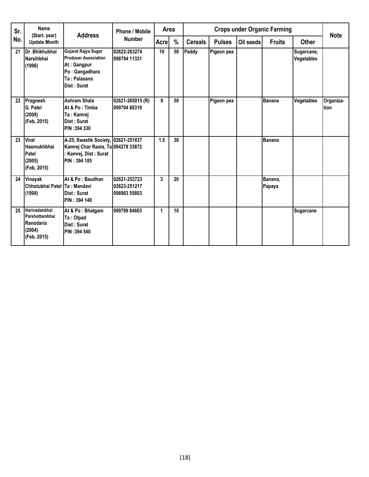| Sr. | Name<br>(Start. year)                                                 | <b>Address</b>                                                                                                     | <b>Phone / Mobile</b>                        | Area         |      |                |               |           | <b>Crops under Organic Farming</b> |                                 | <b>Note</b>               |
|-----|-----------------------------------------------------------------------|--------------------------------------------------------------------------------------------------------------------|----------------------------------------------|--------------|------|----------------|---------------|-----------|------------------------------------|---------------------------------|---------------------------|
| No. | <b>Update Month</b>                                                   |                                                                                                                    | <b>Number</b>                                | <b>Acre</b>  | $\%$ | <b>Cereals</b> | <b>Pulses</b> | Oil seeds | <b>Fruits</b>                      | <b>Other</b>                    |                           |
| 21  | Dr. Bhikhubhai<br>Narsihbhai<br>(1996)                                | Gujarat Rajya Sugar<br><b>Producer Association</b><br>At: Gangpur<br>Po: Gangadhara<br>Ta: Palasana<br>Dist: Surat | 02622-263274<br>098794 11331                 | 10           | 50   | Paddy          | Pigeon pea    |           |                                    | Sugarcane,<br><b>Vegetables</b> |                           |
| 22  | Pragnesh<br><b>G. Patel</b><br>(2008)<br>(Feb, 2015)                  | <b>Ashram Shala</b><br>At & Po: Timba<br>Ta: Kamrej<br>Dist: Surat<br>PIN: 394 330                                 | 02621-265015 (R)<br>099794 60319             | 9            | 50   |                | Pigeon pea    |           | <b>Banana</b>                      | Vegetables                      | Organiza-<br><b>Ition</b> |
| 23  | Viral<br>Hasmukhbhai<br>Patel<br>(2005)<br>(Feb, 2015)                | A-25, Swastik Society, 02621-251837<br>Kamrej Char Rasta, Ta 094278 33872<br>Kamrej, Dist: Surat<br>PIN: 394 185   |                                              | 1.5          | 30   |                |               |           | <b>Banana</b>                      |                                 |                           |
| 24  | Vinayak<br>Chhotubhai Patel Ta: Mandavi<br>(1998)                     | At & Po: Baudhan<br>Dist: Surat<br>PIN: 394 140                                                                    | 02621-253723<br>02623-251217<br>098983 55803 | 3            | 20   |                |               |           | Banana,<br>Papaya                  |                                 |                           |
| 25  | Harivadanbhai<br>Parshottambhai<br>Ranodaria<br>(2004)<br>(Feb, 2015) | At & Po: Bhatgam<br>Ta: Olpad<br>Dist: Surat<br>PIN: 394 540                                                       | 099799 84603                                 | $\mathbf{1}$ | 10   |                |               |           |                                    | <b>Sugarcane</b>                |                           |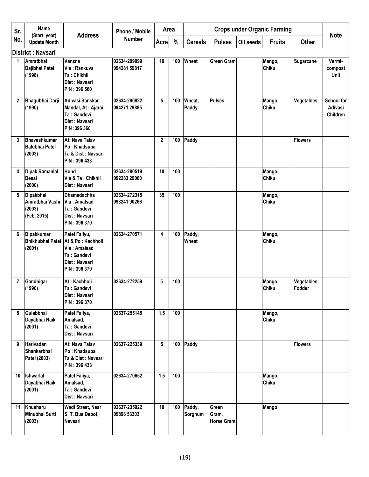| Sr.             | Name                                                  | <b>Address</b>                                                                                     | <b>Phone / Mobile</b>        | Area         |     |                   |                                     |           | <b>Crops under Organic Farming</b> |                       | <b>Note</b>                       |
|-----------------|-------------------------------------------------------|----------------------------------------------------------------------------------------------------|------------------------------|--------------|-----|-------------------|-------------------------------------|-----------|------------------------------------|-----------------------|-----------------------------------|
| No.             | (Start. year)<br><b>Update Month</b>                  |                                                                                                    | <b>Number</b>                | <b>Acre</b>  | %   | <b>Cereals</b>    | <b>Pulses</b>                       | Oil seeds | <b>Fruits</b>                      | <b>Other</b>          |                                   |
|                 | <b>District: Navsari</b>                              |                                                                                                    |                              |              |     |                   |                                     |           |                                    |                       |                                   |
| 1               | Amratbhai<br>Dajibhai Patel<br>(1998)                 | Vanzna<br>Via: Rankuva<br>Ta: Chikhli<br>Dist: Navsari<br>PIN: 396 560                             | 02634-299099<br>094281 59817 | 10           | 100 | Wheat             | <b>Green Gram</b>                   |           | Mango,<br>Chiku                    | Sugarcane             | Vermi-<br>compost<br>Unit         |
| $\mathbf{2}$    | Bhagubhai Darji<br>(1990)                             | Adivasi Sanskar<br>Mandal, At: Ajarai<br>Ta: Gandevi<br>Dist: Navsari<br>PIN: 396 360              | 02634-290822<br>094271 29885 | 5            | 100 | Wheat.<br>Paddy   | <b>Pulses</b>                       |           | Mango,<br>Chiku                    | Vegetables            | School for<br>Adivasi<br>Children |
| 3               | Bhaveshkumar<br><b>Balubhai Patel</b><br>(2003)       | At: Nava Talav<br>Po: Khadsupa<br>Ta & Dist: Navsari<br>PIN: 396 433                               |                              | $\mathbf{2}$ | 100 | Paddy             |                                     |           |                                    | <b>Flowers</b>        |                                   |
| 4               | <b>Dipak Ramanlal</b><br><b>Desai</b><br>(2000)       | <b>Hond</b><br>Via & Ta: Chikhli<br>Dist: Navsari                                                  | 02634-290519<br>092283 29060 | 10           | 100 |                   |                                     |           | Mango,<br>Chiku                    |                       |                                   |
| 5               | Dipakbhai<br>Amratbhai Vashi<br>(2003)<br>(Feb, 2015) | <b>Dhamadachha</b><br>Via: Amalsad<br>Ta: Gandevi<br>Dist: Navsari<br>PIN: 396 370                 | 02634-272315<br>098241 90266 | 35           | 100 |                   |                                     |           | Mango,<br>Chiku                    |                       |                                   |
| 6               | Dipakkumar<br><b>Bhikhubhai Patel</b><br>(2001)       | Patel Faliyu,<br>At & Po: Kachholi<br>Via: Amalsad<br>Ta: Gandevi<br>Dist: Navsari<br>PIN: 396 370 | 02634-270571                 | 4            | 100 | Paddy,<br>Wheat   |                                     |           | Mango,<br>Chiku                    |                       |                                   |
| $\overline{7}$  | Gandhigar<br>(1990)                                   | At: Kachholi<br>Ta: Gandevi<br>Dist: Navsari<br>PIN: 396 370                                       | 02634-272259                 | 5            | 100 |                   |                                     |           | Mango,<br>Chiku                    | Vegetables,<br>Fodder |                                   |
| 8               | Gulabbhai<br>Dayabhai Naik<br>(2001)                  | Patel Faliya,<br>Amalsad,<br>Ta: Gandevi<br>Dist: Navsari                                          | 02637-255145                 | 1.5          | 100 |                   |                                     |           | Mango,<br>Chiku                    |                       |                                   |
| 9               | Harivadan<br>Shankarbhai<br>Patel (2003)              | At: Nava Talav<br>Po: Khadsupa<br>Ta & Dist : Navsari<br>PIN: 396 433                              | 02637-225339                 | 5            | 100 | Paddy             |                                     |           |                                    | <b>Flowers</b>        |                                   |
| 10 <sup>°</sup> | Ishwarlal<br>Dayabhai Naik<br>(2001)                  | Patel Faliya,<br>Amalsad,<br>Ta: Gandevi<br>Dist: Navsari                                          | 02634-270652                 | 1.5          | 100 |                   |                                     |           | Mango,<br>Chiku                    |                       |                                   |
| 11              | Khusharu<br>Minubhai Surti<br>(2003)                  | Wadi Street, Near<br>S. T. Bus Depot,<br><b>Navsari</b>                                            | 02637-235922<br>09898 53303  | 10           | 100 | Paddy,<br>Sorghum | Green<br>Gram,<br><b>Horse Gram</b> |           | Mango                              |                       |                                   |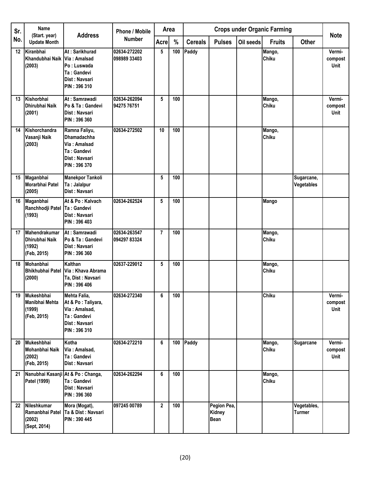| Sr. | <b>Name</b>                                              | <b>Address</b>                                                                                       | <b>Phone / Mobile</b>        |                | <b>Crops under Organic Farming</b><br>Area<br>%<br><b>Cereals</b><br><b>Pulses</b><br>Oil seeds<br><b>Fruits</b> |       |                                      |  |                 | <b>Note</b>                  |                                  |
|-----|----------------------------------------------------------|------------------------------------------------------------------------------------------------------|------------------------------|----------------|------------------------------------------------------------------------------------------------------------------|-------|--------------------------------------|--|-----------------|------------------------------|----------------------------------|
| No. | (Start. year)<br><b>Update Month</b>                     |                                                                                                      | <b>Number</b>                | <b>Acre</b>    |                                                                                                                  |       |                                      |  |                 | <b>Other</b>                 |                                  |
| 12  | Kiranbhai<br>Khandubhai Naik Via: Amalsad<br>(2003)      | At: Sarikhurad<br>Po: Luswada<br>Ta: Gandevi<br>Dist: Navsari<br>PIN: 396 310                        | 02634-272202<br>098989 33403 | 5              | 100                                                                                                              | Paddy |                                      |  | Mango,<br>Chiku |                              | Vermi-<br>compost<br><b>Unit</b> |
| 13  | Kishorbhai<br>Dhirubhai Naik<br>(2001)                   | At: Samrawadi<br>Po & Ta: Gandevi<br>Dist: Navsari<br>PIN: 396 360                                   | 02634-262094<br>94275 76751  | 5              | 100                                                                                                              |       |                                      |  | Mango,<br>Chiku |                              | Vermi-<br>compost<br>Unit        |
| 14  | Kishorchandra<br>Vasanji Naik<br>(2003)                  | Ramna Faliyu,<br><b>Dhamadachha</b><br>Via: Amalsad<br>Ta: Gandevi<br>Dist: Navsari<br>PIN: 396 370  | 02634-272502                 | 10             | 100                                                                                                              |       |                                      |  | Mango,<br>Chiku |                              |                                  |
| 15  | Maganbhai<br>Morarbhai Patel<br>(2005)                   | <b>Manekpor Tankoli</b><br>Ta: Jalalpur<br>Dist: Navsari                                             |                              | 5              | 100                                                                                                              |       |                                      |  |                 | Sugarcane,<br>Vegetables     |                                  |
| 16  | Maganbhai<br>Ranchhodji Patel<br>(1993)                  | At & Po: Kalvach<br>Ta: Gandevi<br>Dist: Navsari<br>PIN: 396 403                                     | 02634-262524                 | 5              | 100                                                                                                              |       |                                      |  | Mango           |                              |                                  |
| 17  | Mahendrakumar<br>Dhirubhai Naik<br>(1992)<br>(Feb, 2015) | At: Samrawadi<br>Po & Ta: Gandevi<br>Dist: Navsari<br>PIN: 396 360                                   | 02634-263547<br>094297 83324 | $\overline{7}$ | 100                                                                                                              |       |                                      |  | Mango,<br>Chiku |                              |                                  |
| 18  | Mohanbhai<br>(2000)                                      | Kalthan<br>Bhikhubhai Patel Via: Khava Abrama<br>Ta, Dist: Navsari<br>PIN: 396 406                   | 02637-229012                 | 5              | 100                                                                                                              |       |                                      |  | Mango,<br>Chiku |                              |                                  |
| 19  | Mukeshbhai<br>Manibhai Mehta<br>(1999)<br>(Feb, 2015)    | Mehta Falia,<br>At & Po : Taliyara,<br>Via: Amalsad,<br>Ta: Gandevi<br>Dist: Navsari<br>PIN: 396 310 | 02634-272340                 | 6              | 100                                                                                                              |       |                                      |  | Chiku           |                              | Vermi-<br>compost<br>Unit        |
| 20  | Mukeshbhai<br>Mohanbhai Naik<br>(2002)<br>(Feb, 2015)    | Kotha<br>Via: Amalsad,<br>Ta: Gandevi<br>Dist: Navsari                                               | 02634-272210                 | 6              | 100                                                                                                              | Paddy |                                      |  | Mango,<br>Chiku | Sugarcane                    | Vermi-<br>compost<br>Unit        |
| 21  | Nanubhai Kasanji At & Po: Changa,<br>Patel (1999)        | Ta: Gandevi<br>Dist: Navsari<br>PIN: 396 360                                                         | 02634-262294                 | 6              | 100                                                                                                              |       |                                      |  | Mango,<br>Chiku |                              |                                  |
| 22  | Nileshkumar<br>Ramanbhai Patel<br>(2002)<br>(Sept, 2014) | Mora (Mogat),<br>Ta & Dist: Navsari<br>PIN: 390 445                                                  | 097245 00789                 | $\mathbf{2}$   | 100                                                                                                              |       | Pegion Pea,<br>Kidney<br><b>Bean</b> |  |                 | Vegetables,<br><b>Turmer</b> |                                  |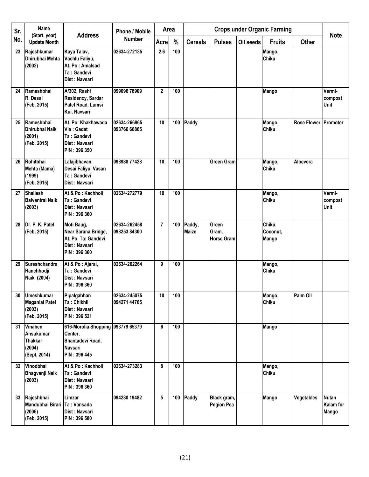| Sr. | Name<br>(Start. year)                                                          | <b>Address</b>                                                                              | <b>Phone / Mobile</b>        | Area           |     |                        |                                     |           | <b>Crops under Organic Farming</b> |                             | <b>Note</b>                               |
|-----|--------------------------------------------------------------------------------|---------------------------------------------------------------------------------------------|------------------------------|----------------|-----|------------------------|-------------------------------------|-----------|------------------------------------|-----------------------------|-------------------------------------------|
| No. | <b>Update Month</b>                                                            |                                                                                             | <b>Number</b>                | <b>Acre</b>    | %   | <b>Cereals</b>         | <b>Pulses</b>                       | Oil seeds | <b>Fruits</b>                      | <b>Other</b>                |                                           |
| 23  | Rajeshkumar<br>Dhirubhai Mehta<br>(2002)                                       | Kaya Talav,<br>Vachlu Faliyu,<br>At, Po: Amalsad<br>Ta: Gandevi<br>Dist: Navsari            | 02634-272135                 | 2.6            | 100 |                        |                                     |           | Mango,<br><b>Chiku</b>             |                             |                                           |
| 24  | Rameshbhai<br>R. Desai<br>(Feb, 2015)                                          | A/302, Rashi<br>Residency, Sardar<br>Patel Road, Lumsi<br>Kui, Navsari                      | 099096 78909                 | $\mathbf{2}$   | 100 |                        |                                     |           | <b>Mango</b>                       |                             | Vermi-<br>compost<br>Unit                 |
| 25  | Rameshbhai<br>Dhirubhai Naik<br>(2001)<br>(Feb, 2015)                          | At, Po: Khakhawada<br>Via: Gadat<br>Ta: Gandevi<br>Dist: Navsari<br>PIN: 396 350            | 02634-266865<br>093766 66865 | 10             | 100 | Paddy                  |                                     |           | Mango,<br><b>Chiku</b>             | <b>Rose Flower Promoter</b> |                                           |
| 26  | Rohitbhai<br>Mehta (Mama)<br>(1999)<br>(Feb, 2015)                             | Lalajibhavan,<br>Desai Faliyu, Vasan<br>Ta: Gandevi<br>Dist: Navsari                        | 098988 77428                 | 10             | 100 |                        | <b>Green Gram</b>                   |           | Mango,<br><b>Chiku</b>             | Aloevera                    |                                           |
| 27  | Shailesh<br><b>Balvantrai Naik</b><br>(2003)                                   | At & Po: Kachholi<br>Ta: Gandevi<br>Dist: Navsari<br>PIN: 396 360                           | 02634-272779                 | 10             | 100 |                        |                                     |           | Mango,<br><b>Chiku</b>             |                             | Vermi-<br>compost<br>Unit                 |
| 28  | Dr. P. K. Patel<br>(Feb, 2015)                                                 | Moti Baug,<br>Near Sarana Bridge,<br>At, Po, Ta: Gandevi<br>Dist: Navsari<br>PIN: 396 360   | 02634-262458<br>098253 84300 | $\overline{7}$ | 100 | Paddy,<br><b>Maize</b> | Green<br>Gram,<br><b>Horse Gram</b> |           | Chiku,<br>Coconut,<br>Mango        |                             |                                           |
| 29  | Sureshchandra<br>Ranchhodji<br>Naik (2004)                                     | At & Po : Ajarai,<br>Ta: Gandevi<br>Dist: Navsari<br>PIN: 396 360                           | 02634-262264                 | 9              | 100 |                        |                                     |           | Mango,<br><b>Chiku</b>             |                             |                                           |
| 30  | Umeshkumar<br><b>Maganial Patel</b><br>(2003)<br>(Feb, 2015)                   | Pipalgabhan<br>Ta: Chikhli<br>Dist: Navsari<br>PIN: 396 521                                 | 02634-245075<br>094271 44765 | 10             | 100 |                        |                                     |           | Mango,<br><b>Chiku</b>             | Palm Oil                    |                                           |
| 31  | <b>Vinaben</b><br><b>Ansukumar</b><br><b>Thakkar</b><br>(2004)<br>(Sept, 2014) | 616-Morolia Shopping 093779 65379<br>Center,<br>Shantadevi Road,<br>Navsari<br>PIN: 396 445 |                              | 6              | 100 |                        |                                     |           | <b>Mango</b>                       |                             |                                           |
| 32  | Vinodbhai<br>Bhagvanji Naik<br>(2003)                                          | At & Po: Kachholi<br>Ta: Gandevi<br>Dist: Navsari<br>PIN: 396 360                           | 02634-273283                 | 8              | 100 |                        |                                     |           | Mango,<br><b>Chiku</b>             |                             |                                           |
| 33  | Rajeshbhai<br>Mandubhai Birari Ta: Vansada<br>(2006)<br>(Feb, 2015)            | Limzar<br>Dist: Navsari<br>PIN: 396 580                                                     | 094280 19482                 | 5              | 100 | Paddy                  | Black gram,<br><b>Pegion Pea</b>    |           | <b>Mango</b>                       | Vegetables                  | <b>Nutan</b><br>Kalam for<br><b>Mango</b> |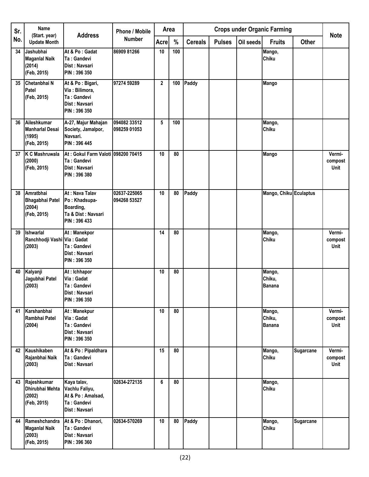| Sr. | Name<br>(Start. year)                                             | <b>Address</b>                                                                     | <b>Phone / Mobile</b>        | Area           |                 |                |               |           | <b>Crops under Organic Farming</b> |                  | <b>Note</b>                      |
|-----|-------------------------------------------------------------------|------------------------------------------------------------------------------------|------------------------------|----------------|-----------------|----------------|---------------|-----------|------------------------------------|------------------|----------------------------------|
| No. | <b>Update Month</b>                                               |                                                                                    | <b>Number</b>                | Acre           | %               | <b>Cereals</b> | <b>Pulses</b> | Oil seeds | <b>Fruits</b>                      | <b>Other</b>     |                                  |
| 34  | <b>Jashubhai</b><br><b>Maganial Naik</b><br>(2014)<br>(Feb, 2015) | At & Po: Gadat<br>Ta: Gandevi<br>Dist: Navsari<br>PIN: 396 350                     | 86909 81266                  | 10             | 100             |                |               |           | Mango,<br>Chiku                    |                  |                                  |
| 35  | Chetanbhai N<br>Patel<br>(Feb, 2015)                              | At & Po: Bigari,<br>Via: Bilimora,<br>Ta: Gandevi<br>Dist: Navsari<br>PIN: 396 350 | 97274 59289                  | $\overline{2}$ | 100             | Paddy          |               |           | <b>Mango</b>                       |                  |                                  |
| 36  | Aileshkumar<br><b>Manharlal Desai</b><br>(1995)<br>(Feb, 2015)    | A-27, Majur Mahajan<br>Society, Jamalpor,<br>Navsari.<br>PIN: 396 445              | 094082 33512<br>098259 01053 | 5              | 100             |                |               |           | Mango,<br>Chiku                    |                  |                                  |
| 37  | K C Mashruwala<br>(2000)<br>(Feb, 2015)                           | At: Gokul Farm Valoti 098200 70415<br>Ta: Gandevi<br>Dist: Navsari<br>PIN: 396 380 |                              | 10             | 80              |                |               |           | Mango                              |                  | Vermi-<br>compost<br>Unit        |
| 38  | Amratbhai<br><b>Bhagabhai Patel</b><br>(2004)<br>(Feb, 2015)      | At: Nava Talav<br>Po: Khadsupa-<br>Boarding,<br>Ta & Dist: Navsari<br>PIN: 396 433 | 02637-225065<br>094268 53527 | 10             | 80              | Paddy          |               |           | Mango, Chiku Eculaptus             |                  |                                  |
| 39  | Ishwarlal<br>Ranchhodji Vashi Via: Gadat<br>(2003)                | At: Manekpor<br>Ta: Gandevi<br>Dist: Navsari<br>PIN: 396 350                       |                              | 14             | 80              |                |               |           | Mango,<br>Chiku                    |                  | Vermi-<br>compost<br><b>Unit</b> |
| 40  | Kalyanji<br>Jagubhai Patel<br>(2003)                              | At : Ichhapor<br>Via: Gadat<br>Ta: Gandevi<br>Dist: Navsari<br>PIN: 396 350        |                              | 10             | 80              |                |               |           | Mango,<br>Chiku,<br><b>Banana</b>  |                  |                                  |
| 41  | Karshanbhai<br>Rambhai Patel<br>(2004)                            | At: Manekpur<br>Via: Gadat<br>Ta: Gandevi<br>Dist: Navsari<br>PIN: 396 350         |                              | 10             | 80              |                |               |           | Mango,<br>Chiku,<br><b>Banana</b>  |                  | Vermi-<br>compost<br>Unit        |
| 42  | Kaushikaben<br>Rajanbhai Naik<br>(2003)                           | At & Po : Pipaldhara<br>Ta: Gandevi<br>Dist: Navsari                               |                              | 15             | $\overline{80}$ |                |               |           | Mango,<br>Chiku                    | <b>Sugarcane</b> | Vermi-<br>compost<br>Unit        |
| 43  | Rajeshkumar<br>Dhirubhai Mehta<br>(2002)<br>(Feb, 2015)           | Kaya talav,<br>Vachlu Faliyu,<br>At & Po: Amalsad,<br>Ta: Gandevi<br>Dist: Navsari | 02634-272135                 | 6              | 80              |                |               |           | Mango,<br>Chiku                    |                  |                                  |
| 44  | Rameshchandra<br><b>Maganial Naik</b><br>(2003)<br>(Feb, 2015)    | At & Po: Dhanori,<br>Ta: Gandevi<br>Dist: Navsari<br>PIN: 396 360                  | 02634-570269                 | 10             | 80              | Paddy          |               |           | Mango,<br>Chiku                    | <b>Sugarcane</b> |                                  |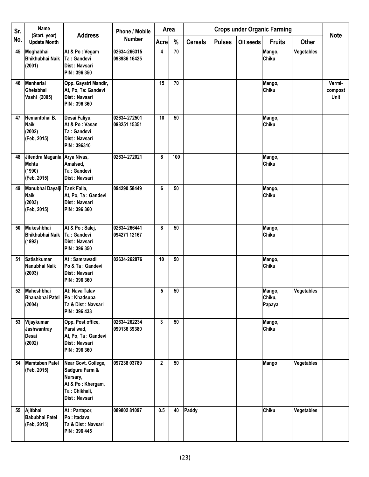| Sr. | Name<br>(Start. year)                                                  | <b>Address</b>                                                                                           | <b>Phone / Mobile</b>        | Area         |      |                |               |           | <b>Crops under Organic Farming</b> |                   | <b>Note</b>               |
|-----|------------------------------------------------------------------------|----------------------------------------------------------------------------------------------------------|------------------------------|--------------|------|----------------|---------------|-----------|------------------------------------|-------------------|---------------------------|
| No. | <b>Update Month</b>                                                    |                                                                                                          | <b>Number</b>                | <b>Acre</b>  | $\%$ | <b>Cereals</b> | <b>Pulses</b> | Oil seeds | <b>Fruits</b>                      | <b>Other</b>      |                           |
| 45  | Moghabhai<br><b>Bhikhubhai Naik</b><br>(2001)                          | At & Po: Vegam<br>Ta: Gandevi<br>Dist: Navsari<br>PIN: 396 350                                           | 02634-266315<br>098986 16425 | 4            | 70   |                |               |           | Mango,<br><b>Chiku</b>             | Vegetables        |                           |
| 46  | <b>Manharlal</b><br>Ghelabhai<br>Vashi (2005)                          | Opp. Gayatri Mandir,<br>At, Po, Ta: Gandevi<br>Dist: Navsari<br>PIN: 396 360                             |                              | 15           | 70   |                |               |           | Mango,<br><b>Chiku</b>             |                   | Vermi-<br>compost<br>Unit |
| 47  | Hemantbhai B.<br><b>Naik</b><br>(2002)<br>(Feb, 2015)                  | Desai Faliyu,<br>At & Po: Vasan<br>Ta: Gandevi<br>Dist: Navsari<br>PIN: 396310                           | 02634-272501<br>098251 15351 | 10           | 50   |                |               |           | Mango,<br><b>Chiku</b>             |                   |                           |
| 48  | Jitendra Maganlal Arya Nivas,<br><b>Mehta</b><br>(1990)<br>(Feb, 2015) | Amalsad,<br>Ta: Gandevi<br>Dist: Navsari                                                                 | 02634-272021                 | 8            | 100  |                |               |           | Mango,<br><b>Chiku</b>             |                   |                           |
| 49  | Manubhai Dayalji Tank Falia,<br><b>Naik</b><br>(2003)<br>(Feb, 2015)   | At, Po, Ta : Gandevi<br>Dist: Navsari<br>PIN: 396 360                                                    | 094290 58449                 | 6            | 50   |                |               |           | Mango,<br><b>Chiku</b>             |                   |                           |
| 50  | <b>Mukeshbhai</b><br>Bhikhubhai Naik<br>(1993)                         | At & Po : Salej,<br>Ta: Gandevi<br>Dist: Navsari<br>PIN: 396 350                                         | 02634-266441<br>094271 12167 | 8            | 50   |                |               |           | Mango,<br><b>Chiku</b>             |                   |                           |
| 51  | <b>Satishkumar</b><br>Nanubhai Naik<br>(2003)                          | At: Samrawadi<br>Po & Ta: Gandevi<br>Dist: Navsari<br>PIN: 396 360                                       | 02634-262876                 | 10           | 50   |                |               |           | Mango,<br><b>Chiku</b>             |                   |                           |
| 52  | <b>Maheshbhai</b><br><b>Bhanabhai Patel</b><br>(2004)                  | At: Nava Talav<br>Po: Khadsupa<br>Ta & Dist: Navsari<br>PIN: 396 433                                     |                              | 5            | 50   |                |               |           | Mango,<br>Chiku,<br>Papaya         | <b>Vegetables</b> |                           |
| 53  | Vijaykumar<br>Jashwantray<br><b>Desai</b><br>(2002)                    | Opp. Post office,<br>Parsi wad,<br>At, Po, Ta : Gandevi<br>Dist: Navsari<br>PIN: 396 360                 | 02634-262234<br>099136 39380 | 3            | 50   |                |               |           | Mango,<br>Chiku                    |                   |                           |
| 54  | <b>Mamtaben Patel</b><br>(Feb, 2015)                                   | Near Govt. College,<br>Sadguru Farm &<br>Nursary,<br>At & Po: Khergam,<br>Ta: Chikhali,<br>Dist: Navsari | 097238 03789                 | $\mathbf{2}$ | 50   |                |               |           | <b>Mango</b>                       | Vegetables        |                           |
| 55  | Ajitbhai<br>Babubhai Patel<br>(Feb, 2015)                              | At: Partapor,<br>Po: Itadava,<br>Ta & Dist: Navsari<br>PIN: 396 445                                      | 08980281097                  | 0.5          | 40   | Paddy          |               |           | Chiku                              | Vegetables        |                           |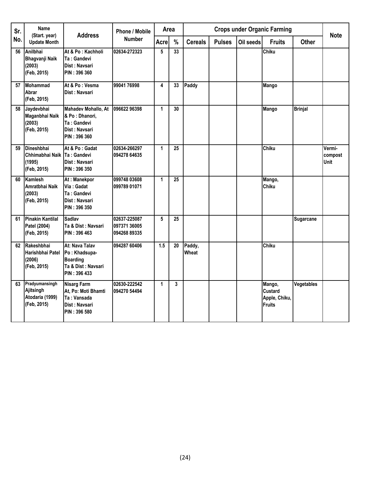| Sr. | <b>Name</b><br>(Start. year)                                  | <b>Address</b>                                                                            | <b>Phone / Mobile</b>                        | Area         |    |                 |               |           | <b>Crops under Organic Farming</b>                  |                | <b>Note</b>               |
|-----|---------------------------------------------------------------|-------------------------------------------------------------------------------------------|----------------------------------------------|--------------|----|-----------------|---------------|-----------|-----------------------------------------------------|----------------|---------------------------|
| No. | <b>Update Month</b>                                           |                                                                                           | <b>Number</b>                                | Acre         | %  | <b>Cereals</b>  | <b>Pulses</b> | Oil seeds | <b>Fruits</b>                                       | <b>Other</b>   |                           |
| 56  | Anilbhai<br><b>Bhagvanji Naik</b><br>(2003)<br>(Feb, 2015)    | At & Po : Kachholi<br>Ta: Gandevi<br>Dist: Navsari<br><b>PIN: 396 360</b>                 | 02634-272323                                 | 5            | 33 |                 |               |           | Chiku                                               |                |                           |
| 57  | <b>Mohammad</b><br>Abrar<br>(Feb, 2015)                       | At & Po: Vesma<br>Dist: Navsari                                                           | 99041 76998                                  | 4            | 33 | Paddy           |               |           | Mango                                               |                |                           |
| 58  | Jaydevbhai<br>Maganbhai Naik<br>(2003)<br>(Feb, 2015)         | Mahadev Mohallo, At<br>& Po : Dhanori,<br>Ta: Gandevi<br>Dist: Navsari<br>PIN: 396 360    | 096622 96398                                 | 1            | 30 |                 |               |           | Mango                                               | <b>Brinjal</b> |                           |
| 59  | Dineshbhai<br>Chhimabhai Naik<br>(1995)<br>(Feb, 2015)        | At & Po : Gadat<br>Ta: Gandevi<br>Dist: Navsari<br><b>PIN: 396 350</b>                    | 02634-266297<br>094278 64635                 | $\mathbf{1}$ | 25 |                 |               |           | Chiku                                               |                | Vermi-<br>compost<br>Unit |
| 60  | Kamlesh<br>Amratbhai Naik<br>(2003)<br>(Feb, 2015)            | At: Manekpor<br>Via: Gadat<br>Ta: Gandevi<br>Dist: Navsari<br>PIN: 396 350                | 099748 03608<br>099789 01071                 | $\mathbf{1}$ | 25 |                 |               |           | Mango,<br>Chiku                                     |                |                           |
| 61  | <b>Pinakin Kantilal</b><br>Patel (2004)<br>(Feb, 2015)        | <b>Sadlav</b><br>Ta & Dist: Navsari<br>PIN: 396 463                                       | 02637-225087<br>097371 36005<br>094268 89335 | 5            | 25 |                 |               |           |                                                     | Sugarcane      |                           |
| 62  | Rakeshbhai<br>Harishbhai Patel<br>(2006)<br>(Feb, 2015)       | At: Nava Talav<br>Po: Khadsupa-<br><b>Boarding</b><br>Ta & Dist: Navsari<br>PIN: 396 433  | 094287 60406                                 | 1.5          | 20 | Paddy,<br>Wheat |               |           | Chiku                                               |                |                           |
| 63  | Pradyumansingh<br>Ajitsingh<br>Atodaria (1999)<br>(Feb, 2015) | <b>Nisarg Farm</b><br>At, Po: Moti Bhamti<br>Ta: Vansada<br>Dist: Navsari<br>PIN: 396 580 | 02630-222542<br>094270 54494                 | $\mathbf{1}$ | 3  |                 |               |           | Mango,<br>Custard<br>Apple, Chiku,<br><b>Fruits</b> | Vegetables     |                           |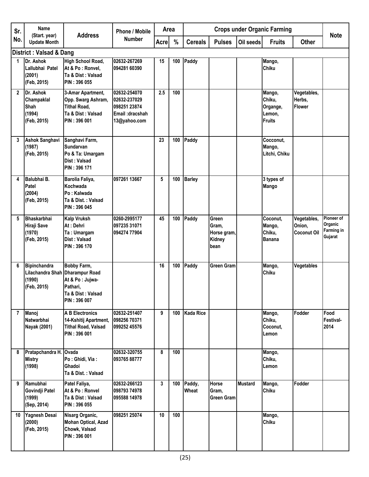| Sr.          | Name                                                                     | <b>Address</b>                                                                                      | <b>Phone / Mobile</b>                                                           | Area        |     |                  |                                                 |                | <b>Crops under Organic Farming</b>                      |                                             | <b>Note</b>                                           |
|--------------|--------------------------------------------------------------------------|-----------------------------------------------------------------------------------------------------|---------------------------------------------------------------------------------|-------------|-----|------------------|-------------------------------------------------|----------------|---------------------------------------------------------|---------------------------------------------|-------------------------------------------------------|
| No.          | (Start. year)<br><b>Update Month</b>                                     |                                                                                                     | Number                                                                          | <b>Acre</b> | %   | <b>Cereals</b>   | <b>Pulses</b>                                   | Oil seeds      | <b>Fruits</b>                                           | <b>Other</b>                                |                                                       |
|              | <b>District: Valsad &amp; Dang</b>                                       |                                                                                                     |                                                                                 |             |     |                  |                                                 |                |                                                         |                                             |                                                       |
| 1            | Dr. Ashok<br>Lallubhai Patel<br>(2001)<br>(Feb, 2015)                    | High School Road,<br>At & Po: Ronvel,<br>Ta & Dist: Valsad<br>PIN: 396 055                          | 02632-267269<br>094281 60390                                                    | 15          | 100 | Paddy            |                                                 |                | Mango,<br>Chiku                                         |                                             |                                                       |
| $\mathbf{2}$ | Dr. Ashok<br>Champaklal<br><b>Shah</b><br>(1994)<br>(Feb, 2015)          | 3-Amar Apartment,<br>Opp. Swarg Ashram,<br><b>Tithal Road,</b><br>Ta & Dist: Valsad<br>PIN: 396 001 | 02632-254070<br>02632-237029<br>098251 23874<br>Email: dracshah<br>13@yahoo.com | 2.5         | 100 |                  |                                                 |                | Mango,<br>Chiku,<br>Organge,<br>Lemon,<br><b>Fruits</b> | Vegetables,<br>Herbs,<br><b>Flower</b>      |                                                       |
| 3            | <b>Ashok Sanghavi</b><br>(1987)<br>(Feb, 2015)                           | Sanghavi Farm,<br>Sundarvan<br>Po & Ta: Umargam<br>Dist: Valsad<br>PIN: 396 171                     |                                                                                 | 23          | 100 | Paddy            |                                                 |                | Cocconut,<br>Mango,<br>Litchi, Chiku                    |                                             |                                                       |
| 4            | Balubhai B.<br><b>Patel</b><br>(2004)<br>(Feb, 2015)                     | Barolia Faliya,<br>Kochwada<br>Po: Kalwada<br>Ta & Dist.: Valsad<br>PIN: 396 045                    | 097261 13667                                                                    | 5           | 100 | <b>Barley</b>    |                                                 |                | 3 types of<br>Mango                                     |                                             |                                                       |
| 5            | Bhaskarbhai<br>Hiraji Save<br>(1970)<br>(Feb, 2015)                      | Kalp Vruksh<br>At: Dehri<br>Ta: Umargam<br>Dist: Valsad<br>PIN: 396 170                             | 0260-2995177<br>097235 31071<br>094274 77904                                    | 45          | 100 | Paddy            | Green<br>Gram,<br>Horse gram,<br>Kidney<br>bean |                | Coconut,<br>Mango,<br>Chiku,<br>Banana                  | Vegetables,<br>Onion,<br><b>Coconut Oil</b> | Pioneer of<br>Organic<br><b>Farming in</b><br>Gujarat |
| 6            | Bipinchandra<br>Lilachandra Shah Dharampur Road<br>(1990)<br>(Feb, 2015) | <b>Bobby Farm,</b><br>At & Po : Jujwa-<br>Pathari.<br>Ta & Dist : Valsad<br>PIN: 396 007            |                                                                                 | 16          | 100 | Paddy            | <b>Green Gram</b>                               |                | Mango,<br>Chiku                                         | Vegetables                                  |                                                       |
| 7            | Manoj<br>Natwarbhai<br>Nayak (2001)                                      | <b>A B Electronics</b><br>14-Kshitij Apartment,<br><b>Tithal Road, Valsad</b><br>PIN: 396 001       | 02632-251407<br>098256 70371<br>099252 45576                                    | 9           | 100 | <b>Kada Rice</b> |                                                 |                | Mango,<br>Chiku,<br>Coconut,<br>Lemon                   | Fodder                                      | Food<br>Festival-<br>2014                             |
| 8            | Pratapchandra H. Ovada<br><b>Mistry</b><br>(1998)                        | Po: Ghidi, Via:<br>Ghadoi<br>Ta & Dist. : Valsad                                                    | 02632-320755<br>093765 88777                                                    | 8           | 100 |                  |                                                 |                | Mango,<br>Chiku,<br>Lemon                               |                                             |                                                       |
| 9            | Ramubhai<br>Govindji Patel<br>(1999)<br>(Sep, 2014)                      | Patel Faliya,<br>At & Po: Ronvel<br>Ta & Dist : Valsad<br>PIN: 396 055                              | 02632-266123<br>098793 74978<br>095588 14978                                    | 3           | 100 | Paddy,<br>Wheat  | Horse<br>Gram,<br><b>Green Gram</b>             | <b>Mustard</b> | Mango,<br>Chiku                                         | Fodder                                      |                                                       |
| 10           | Yagnesh Desai<br>(2000)<br>(Feb, 2015)                                   | Nisarg Organic,<br><b>Mohan Optical, Azad</b><br>Chowk, Valsad<br>PIN: 396 001                      | 098251 25074                                                                    | 10          | 100 |                  |                                                 |                | Mango,<br>Chiku                                         |                                             |                                                       |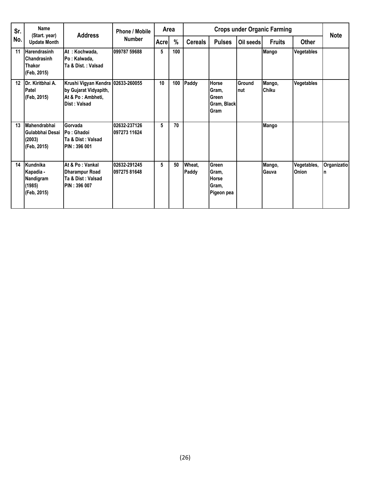| Sr. | Name<br>(Start. year)                                       | <b>Address</b>                                                                                    | <b>Phone / Mobile</b>        |             | Area |                 |                                                       |                | <b>Crops under Organic Farming</b> |                             | <b>Note</b>       |
|-----|-------------------------------------------------------------|---------------------------------------------------------------------------------------------------|------------------------------|-------------|------|-----------------|-------------------------------------------------------|----------------|------------------------------------|-----------------------------|-------------------|
| No. | <b>Update Month</b>                                         |                                                                                                   | <b>Number</b>                | <b>Acre</b> | $\%$ | <b>Cereals</b>  | <b>Pulses</b>                                         | Oil seeds      | <b>Fruits</b>                      | <b>Other</b>                |                   |
| 11  | <b>Harendrasinh</b><br>Chandrasinh<br>Thakor<br>(Feb, 2015) | At : Kochwada,<br>Po: Kalwada,<br>Ta & Dist.: Valsad                                              | 099787 59688                 | 5           | 100  |                 |                                                       |                | <b>Mango</b>                       | Vegetables                  |                   |
| 12  | IDr. Kiritbhai A.<br>Patel<br>(Feb, 2015)                   | Krushi Vigyan Kendra   02633-260055<br>by Gujarat Vidyapith,<br>At & Po: Ambheti,<br>Dist: Valsad |                              | 10          | 100  | Paddy           | <b>Horse</b><br>Gram,<br>Green<br>Gram, Black<br>Gram | Ground<br>Inut | Mango,<br><b>Chiku</b>             | Vegetables                  |                   |
| 13  | Mahendrabhai<br>Gulabbhai Desai<br>(2003)<br>(Feb, 2015)    | Gorvada<br>IPo: Ghadoi<br>Ta & Dist : Valsad<br><b>PIN: 396 001</b>                               | 02632-237126<br>097273 11624 | 5           | 70   |                 |                                                       |                | <b>Mango</b>                       |                             |                   |
| 14  | Kundnika<br>Kapadia -<br>Nandigram<br>(1985)<br>(Feb, 2015) | At & Po: Vankal<br>Dharampur Road<br>Ta & Dist: Valsad<br>IPIN : 396 007                          | 02632-291245<br>09727581648  | 5           | 50   | Wheat,<br>Paddy | Green<br>Gram,<br><b>Horse</b><br>Gram,<br>Pigeon pea |                | Mango,<br>Gauva                    | Vegetables,<br><b>Onion</b> | Organizatio<br>In |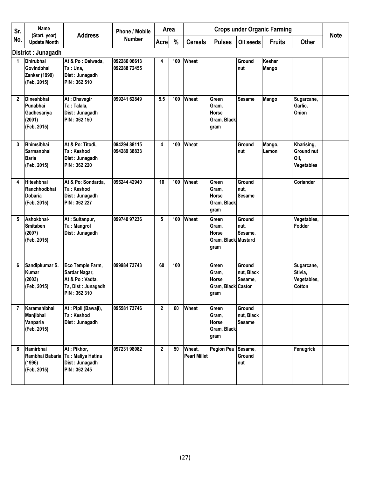| Sr.            | <b>Name</b>                                                           |                                                                                            | <b>Phone / Mobile</b>        |                | <b>Crops under Organic Farming</b><br>Area |                               |                                                               |                                       |                 |                                                       |             |
|----------------|-----------------------------------------------------------------------|--------------------------------------------------------------------------------------------|------------------------------|----------------|--------------------------------------------|-------------------------------|---------------------------------------------------------------|---------------------------------------|-----------------|-------------------------------------------------------|-------------|
| No.            | (Start. year)<br><b>Update Month</b>                                  | <b>Address</b>                                                                             | Number                       | <b>Acre</b>    | %                                          | <b>Cereals</b>                | <b>Pulses</b>                                                 | Oil seeds                             | <b>Fruits</b>   | <b>Other</b>                                          | <b>Note</b> |
|                | District : Junagadh                                                   |                                                                                            |                              |                |                                            |                               |                                                               |                                       |                 |                                                       |             |
| 1              | <b>Dhirubhai</b><br>Govindbhai<br><b>Zankar (1999)</b><br>(Feb, 2015) | At & Po : Delwada,<br>Ta: Una,<br>Dist: Junagadh<br>PIN: 362 510                           | 092286 06613<br>092288 72455 | 4              | 100                                        | Wheat                         |                                                               | Ground<br>nut                         | Keshar<br>Mango |                                                       |             |
| $\mathbf{2}$   | Dineshbhai<br>Punabhai<br>Gadhesariya<br>(2001)<br>(Feb, 2015)        | At: Dhavagir<br>Ta: Talala,<br>Dist: Junagadh<br>PIN: 362 150                              | 099241 62849                 | 5.5            | 100                                        | Wheat                         | Green<br>Gram,<br><b>Horse</b><br>Gram, Black<br>gram         | <b>Sesame</b>                         | Mango           | Sugarcane,<br>Garlic,<br>Onion                        |             |
| 3              | <b>Bhimsibhai</b><br>Sarmanbhai<br><b>Baria</b><br>(Feb, 2015)        | At & Po: Titodi,<br>Ta: Keshod<br>Dist: Junagadh<br>PIN: 362 220                           | 094294 88115<br>094289 38833 | 4              | 100                                        | Wheat                         |                                                               | Ground<br>nut                         | Mango,<br>Lemon | Kharising,<br>Ground nut<br>Oil,<br><b>Vegetables</b> |             |
| 4              | <b>Hiteshbhai</b><br>Ranchhodbhai<br><b>Dobaria</b><br>(Feb, 2015)    | At & Po: Sondarda,<br>Ta: Keshod<br>Dist: Junagadh<br>PIN: 362 227                         | 096244 42940                 | 10             | 100                                        | Wheat                         | Green<br>Gram,<br><b>Horse</b><br>Gram, Black<br>gram         | Ground<br>nut.<br><b>Sesame</b>       |                 | Coriander                                             |             |
| 5              | Ashokbhai-<br><b>Smitaben</b><br>(2007)<br>(Feb, 2015)                | At: Sultanpur,<br>Ta: Mangrol<br>Dist: Junagadh                                            | 099740 97236                 | 5              | 100                                        | Wheat                         | Green<br>Gram,<br><b>Horse</b><br>Gram, Black Mustard<br>gram | Ground<br>nut.<br>Sesame,             |                 | Vegetables,<br>Fodder                                 |             |
| 6              | Sandipkumar S.<br><b>Kumar</b><br>(2003)<br>(Feb, 2015)               | Eco Temple Farm,<br>Sardar Nagar,<br>At & Po: Vadta,<br>Ta, Dist: Junagadh<br>PIN: 362 310 | 099984 73743                 | 60             | 100                                        |                               | Green<br>Gram,<br>Horse<br>Gram, Black Castor<br>gram         | Ground<br>nut, Black<br>Sesame,       |                 | Sugarcane,<br>Stivia,<br>Vegetables,<br>Cotton        |             |
| $\overline{7}$ | Karamshibhai<br>Manjibhai<br>Vanparia<br>(Feb, 2015)                  | At: Pipli (Bawaji),<br>Ta: Keshod<br>Dist: Junagadh                                        | 095581 73746                 | $\mathbf{2}$   | 60                                         | Wheat                         | Green<br>Gram,<br>Horse<br>Gram, Black<br>gram                | Ground<br>nut, Black<br><b>Sesame</b> |                 |                                                       |             |
| 8              | Hamirbhai<br>Rambhai Babaria<br>(1996)<br>(Feb, 2015)                 | At: Pikhor,<br>Ta: Maliya Hatina<br>Dist: Junagadh<br>PIN: 362 245                         | 097231 98082                 | $\overline{2}$ | 50                                         | Wheat,<br><b>Pearl Millet</b> | Pegion Pea Sesame,                                            | Ground<br>nut                         |                 | Fenugrick                                             |             |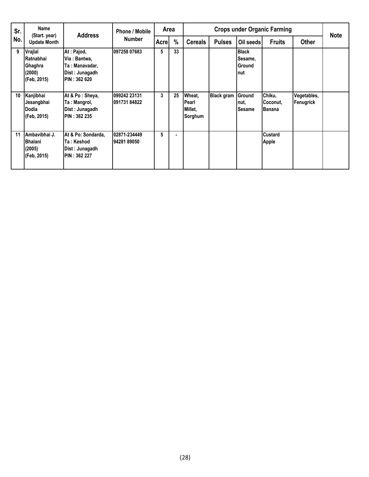| Sr. | <b>Name</b><br>(Start. year)                                     | <b>Address</b>                                                                         | <b>Phone / Mobile</b><br><b>Number</b> | Area  |    |                                       | <b>Crops under Organic Farming</b> | <b>Note</b>                               |                                     |                          |  |
|-----|------------------------------------------------------------------|----------------------------------------------------------------------------------------|----------------------------------------|-------|----|---------------------------------------|------------------------------------|-------------------------------------------|-------------------------------------|--------------------------|--|
| No. | <b>Update Month</b>                                              |                                                                                        |                                        | Acrel | %  | <b>Cereals</b>                        | <b>Pulses</b>                      | Oil seeds                                 | <b>Fruits</b>                       | <b>Other</b>             |  |
| 9   | Vrajlal<br><b>IRatnabhai</b><br>Ghaghra<br>(2000)<br>(Feb, 2015) | At: Pajod,<br>Via : Bantwa,<br>Ta: Manavadar,<br>Dist: Junagadh<br><b>PIN: 362 620</b> | 097258 07683                           | 5     | 33 |                                       |                                    | <b>Black</b><br>Sesame,<br>Ground<br>Inut |                                     |                          |  |
| 10  | Kanjibhai<br>Jesangbhai<br>lDodia<br>(Feb, 2015)                 | At & Po: Sheya,<br>Ta: Mangrol,<br>Dist: Junagadh<br><b>PIN: 362 235</b>               | 099242 23131<br>09173184822            | 3     | 25 | Wheat,<br>Pearl<br>Millet,<br>Sorghum | <b>Black gram</b>                  | Ground<br>nut,<br><b>Sesame</b>           | Chiku,<br>Coconut.<br><b>Banana</b> | Vegetables,<br>Fenugrick |  |
| 11  | Ambavibhai J.<br><b>IBhalani</b><br>(2005)<br>(Feb, 2015)        | At & Po: Sondarda,<br>Ta: Keshod<br>Dist: Junagadh<br><b>PIN: 362 227</b>              | 02871-234449<br>9428189050             | 5     |    |                                       |                                    |                                           | <b>Custard</b><br>Apple             |                          |  |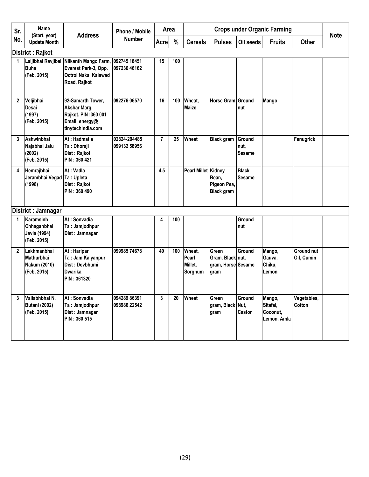| Sr.          | <b>Name</b><br>(Start. year)                                    | <b>Address</b>                                                                                                       | <b>Phone / Mobile</b>        | Area           |     |                                       |                                                         |                                 | <b>Crops under Organic Farming</b>            |                          | <b>Note</b> |
|--------------|-----------------------------------------------------------------|----------------------------------------------------------------------------------------------------------------------|------------------------------|----------------|-----|---------------------------------------|---------------------------------------------------------|---------------------------------|-----------------------------------------------|--------------------------|-------------|
| No.          | <b>Update Month</b>                                             |                                                                                                                      | <b>Number</b>                | <b>Acre</b>    | %   | <b>Cereals</b>                        | <b>Pulses</b>                                           | Oil seeds                       | <b>Fruits</b>                                 | <b>Other</b>             |             |
|              | District: Rajkot                                                |                                                                                                                      |                              |                |     |                                       |                                                         |                                 |                                               |                          |             |
| 1            | <b>Buha</b><br>(Feb, 2015)                                      | Laljibhai Ravjibai Nilkanth Mango Farm, 092745 18451<br>Everest Park-3, Opp.<br>Octroi Naka, Kalawad<br>Road, Rajkot | 097236 46162                 | 15             | 100 |                                       |                                                         |                                 |                                               |                          |             |
| $\mathbf{2}$ | Veljibhai<br><b>Desai</b><br>(1997)<br>(Feb, 2015)              | 92-Samarth Tower,<br>Akshar Marg,<br>Rajkot. PIN: 360 001<br>Email: energy@<br>tinytechindia.com                     | 092276 06570                 | 16             | 100 | Wheat.<br><b>Maize</b>                | <b>Horse Gram Ground</b>                                | nut                             | Mango                                         |                          |             |
| 3            | Ashwinbhai<br>Najabhai Jalu<br>(2002)<br>(Feb, 2015)            | At: Hadmatia<br>Ta: Dhoraji<br>Dist: Rajkot<br>PIN: 360 421                                                          | 02824-294485<br>099132 58956 | $\overline{7}$ | 25  | Wheat                                 | <b>Black gram</b>                                       | Ground<br>nut.<br><b>Sesame</b> |                                               | Fenugrick                |             |
| 4            | Hemrajbhai<br>Jerambhai Vegad Ta: Upleta<br>(1998)              | At: Vadla<br>Dist: Rajkot<br>PIN: 360 490                                                                            |                              | 4.5            |     | Pearl Millet Kidney                   | Bean,<br>Pigeon Pea,<br><b>Black gram</b>               | <b>Black</b><br><b>Sesame</b>   |                                               |                          |             |
|              | District : Jamnagar                                             |                                                                                                                      |                              |                |     |                                       |                                                         |                                 |                                               |                          |             |
| 1            | Karamsinh<br>Chhaganbhai<br><b>Javia (1994)</b><br>(Feb, 2015)  | At: Sonvadia<br>Ta: Jamjodhpur<br>Dist: Jamnagar                                                                     |                              | 4              | 100 |                                       |                                                         | Ground<br>nut                   |                                               |                          |             |
| $\mathbf{2}$ | Lakhmanbhai<br><b>Mathurbhai</b><br>Nakum (2010)<br>(Feb, 2015) | At: Haripar<br>Ta: Jam Kalyanpur<br>Dist: Devbhumi<br><b>Dwarika</b><br>PIN: 361320                                  | 099985 74678                 | 40             | 100 | Wheat,<br>Pearl<br>Millet,<br>Sorghum | Green<br>Gram, Black nut,<br>gram, Horse Sesame<br>gram | Ground                          | Mango,<br>Gauva,<br>Chiku,<br>Lemon           | Ground nut<br>Oil, Cumin |             |
| 3            | Vallabhbhai N.<br><b>Butani (2002)</b><br>(Feb, 2015)           | At: Sonvadia<br>Ta: Jamjodhpur<br>Dist: Jamnagar<br>PIN: 360 515                                                     | 094289 86391<br>098986 22542 | 3              | 20  | Wheat                                 | Green<br>gram, Black Nut,<br>gram                       | Ground<br>Castor                | Mango,<br>Sitafal,<br>Coconut,<br>Lemon, Amla | Vegetables,<br>Cotton    |             |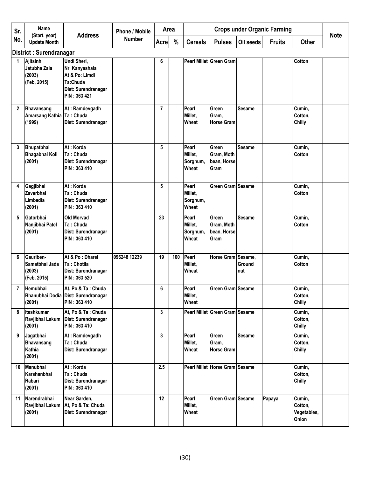| Sr.            | Name                                                  | <b>Address</b>                                                                                     | <b>Phone / Mobile</b> | Area           |      |                                       |                                                   |                      | <b>Crops under Organic Farming</b> |                                           | <b>Note</b> |
|----------------|-------------------------------------------------------|----------------------------------------------------------------------------------------------------|-----------------------|----------------|------|---------------------------------------|---------------------------------------------------|----------------------|------------------------------------|-------------------------------------------|-------------|
| No.            | (Start. year)<br><b>Update Month</b>                  |                                                                                                    | <b>Number</b>         | Acre           | $\%$ | <b>Cereals</b>                        | <b>Pulses</b>                                     | Oil seeds            | <b>Fruits</b>                      | <b>Other</b>                              |             |
|                | District: Surendranagar                               |                                                                                                    |                       |                |      |                                       |                                                   |                      |                                    |                                           |             |
| 1              | Ajitsinh<br>Jatubha Zala<br>(2003)<br>(Feb, 2015)     | Undi Sheri,<br>Nr. Kanyashala<br>At & Po: Limdi<br>Ta:Chuda<br>Dist: Surendranagar<br>PIN: 363 421 |                       | 6              |      |                                       | Pearl Millet Green Gram                           |                      |                                    | <b>Cotton</b>                             |             |
| $\mathbf{2}$   | <b>Bhavansang</b><br><b>Amarsang Kathia</b><br>(1999) | At: Ramdevgadh<br>Ta: Chuda<br>Dist: Surendranagar                                                 |                       | $\overline{7}$ |      | Pearl<br>Millet,<br>Wheat             | Green<br>Gram,<br><b>Horse Gram</b>               | <b>Sesame</b>        |                                    | Cumin,<br>Cotton,<br><b>Chilly</b>        |             |
| 3              | Bhupatbhai<br>Bhagabhai Koli<br>(2001)                | At: Korda<br>Ta: Chuda<br>Dist: Surendranagar<br>PIN: 363 410                                      |                       | 5              |      | Pearl<br>Millet,<br>Sorghum,<br>Wheat | Green<br>Gram, Moth<br>bean, Horse<br>Gram        | <b>Sesame</b>        |                                    | Cumin,<br><b>Cotton</b>                   |             |
| 4              | Gagjibhai<br>Zaverbhai<br>Limbadia<br>(2001)          | At: Korda<br>Ta: Chuda<br>Dist: Surendranagar<br>PIN: 363 410                                      |                       | 5              |      | Pearl<br>Millet,<br>Sorghum,<br>Wheat | Green Gram Sesame                                 |                      |                                    | Cumin,<br>Cotton                          |             |
| 5              | Gatorbhai<br>Nanjibhai Patel<br>(2001)                | Old Morvad<br>Ta: Chuda<br>Dist: Surendranagar<br>PIN: 363 410                                     |                       | 23             |      | Pearl<br>Millet,<br>Sorghum,<br>Wheat | Green<br>Gram, Moth<br>bean, Horse<br><b>Gram</b> | <b>Sesame</b>        |                                    | Cumin,<br><b>Cotton</b>                   |             |
| 6              | Gauriben-<br>Samatbhai Jada<br>(2003)<br>(Feb, 2015)  | At & Po : Dharei<br>Ta: Chotila<br>Dist: Surendranagar<br>PIN: 363 520                             | 096248 12239          | 19             | 100  | Pearl<br>Millet,<br>Wheat             | Horse Gram Sesame,                                | <b>Ground</b><br>nut |                                    | Cumin,<br>Cotton                          |             |
| $\overline{7}$ | Hemubhai<br>(2001)                                    | At, Po & Ta: Chuda<br>Bhanubhai Dodia Dist: Surendranagar<br><b>PIN: 363 410</b>                   |                       | 6              |      | Pearl<br>Millet,<br>Wheat             | <b>Green Gram Sesame</b>                          |                      |                                    | Cumin,<br>Cotton,<br><b>Chilly</b>        |             |
| 8              | Iteshkumar<br>Ravjibhai Lakum<br>(2001)               | At, Po & Ta: Chuda<br>Dist: Surendranagar<br>PIN: 363 410                                          |                       | 3              |      |                                       | Pearl Millet Green Gram Sesame                    |                      |                                    | Cumin,<br>Cotton,<br><b>Chilly</b>        |             |
| 9              | Jagatbhai<br><b>Bhavansang</b><br>Kathia<br>(2001)    | At: Ramdevgadh<br>Ta: Chuda<br>Dist: Surendranagar                                                 |                       | 3              |      | Pearl<br>Millet,<br>Wheat             | <b>Green</b><br>Gram,<br><b>Horse Gram</b>        | <b>Sesame</b>        |                                    | Cumin,<br>Cotton,<br><b>Chilly</b>        |             |
| 10             | <b>Manubhai</b><br>Karshanbhai<br>Rabari<br>(2001)    | At: Korda<br>Ta: Chuda<br>Dist: Surendranagar<br>PIN: 363 410                                      |                       | 2.5            |      |                                       | Pearl Millet Horse Gram Sesame                    |                      |                                    | Cumin,<br>Cotton,<br><b>Chilly</b>        |             |
| 11             | Narendrabhai<br>Ravjibhai Lakum<br>(2001)             | Near Garden,<br>At, Po & Ta: Chuda<br>Dist: Surendranagar                                          |                       | 12             |      | Pearl<br>Millet,<br>Wheat             | Green Gram Sesame                                 |                      | Papaya                             | Cumin,<br>Cotton,<br>Vegetables,<br>Onion |             |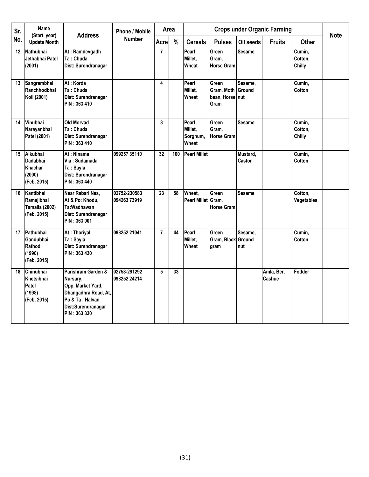| Sr. | <b>Name</b><br>(Start. year)                                     | <b>Address</b>                                                                                                                        | <b>Phone / Mobile</b>        | Area            |               |                                       |                                                              |                    | <b>Crops under Organic Farming</b> |                                         | <b>Note</b> |
|-----|------------------------------------------------------------------|---------------------------------------------------------------------------------------------------------------------------------------|------------------------------|-----------------|---------------|---------------------------------------|--------------------------------------------------------------|--------------------|------------------------------------|-----------------------------------------|-------------|
| No. | <b>Update Month</b>                                              |                                                                                                                                       | <b>Number</b>                | Acrel           | $\frac{9}{6}$ | <b>Cereals</b>                        | <b>Pulses</b>                                                | Oil seeds          | <b>Fruits</b>                      | <b>Other</b>                            |             |
| 12  | Nathubhai<br>Jethabhai Patel<br>(2001)                           | At: Ramdevgadh<br>Ta: Chuda<br>Dist: Surendranagar                                                                                    |                              | $\overline{7}$  |               | Pearl<br>Millet,<br>Wheat             | Green<br>Gram,<br><b>Horse Gram</b>                          | <b>Sesame</b>      |                                    | Cumin,<br>Cotton,<br>Chilly             |             |
| 13  | Sangrambhai<br>Ranchhodbhai<br>Koli (2001)                       | At: Korda<br>Ta: Chuda<br>Dist: Surendranagar<br>PIN: 363 410                                                                         |                              | 4               |               | Pearl<br>Millet.<br>Wheat             | Green<br><b>Gram. Moth Ground</b><br>bean, Horse nut<br>Gram | Sesame.            |                                    | Cumin,<br>Cotton                        |             |
| 14  | Vinubhai<br>Narayanbhai<br>Patel (2001)                          | Old Morvad<br>Ta: Chuda<br>Dist: Surendranagar<br>PIN: 363 410                                                                        |                              | 8               |               | Pearl<br>Millet,<br>Sorghum,<br>Wheat | Green<br>Gram,<br><b>Horse Gram</b>                          | Sesame             |                                    | Cumin,<br>Cotton,<br>Chilly             |             |
| 15  | Alkubhai<br><b>Dadabhai</b><br>Khachar<br>(2000)<br>(Feb, 2015)  | At : Ninama<br>Via : Sudamada<br>Ta: Sayla<br>Dist: Surendranagar<br>PIN: 363 440                                                     | 099257 35110                 | 32              | 100           | <b>Pearl Millet</b>                   |                                                              | Mustard,<br>Castor |                                    | $\overline{\mathrm{C}}$ umin,<br>Cotton |             |
| 16  | Kantibhai<br>Ramajibhai<br><b>Tamalia (2002)</b><br>(Feb, 2015)  | Near Rabari Nes,<br>At & Po: Khodu,<br>Ta:Wadhawan<br>Dist: Surendranagar<br>PIN: 363 001                                             | 02752-230583<br>094263 73919 | $\overline{23}$ | 58            | Wheat.<br>Pearl Millet Gram,          | Green<br><b>Horse Gram</b>                                   | <b>Sesame</b>      |                                    | Cotton,<br>Vegetables                   |             |
| 17  | Pathubhai<br>Gandubhai<br>Rathod<br>(1990)<br>(Feb, 2015)        | At: Thoriyali<br>Ta: Sayla<br>Dist: Surendranagar<br>PIN: 363 430                                                                     | 098252 21041                 | $\overline{7}$  | 44            | Pearl<br>Millet,<br>Wheat             | Green<br>Gram, Black Ground<br>gram                          | Sesame,<br>nut     |                                    | Cumin,<br>Cotton                        |             |
| 18  | <b>Chinubhai</b><br>Khetsibhai<br>Patel<br>(1998)<br>(Feb, 2015) | Parishram Garden &<br>Nursary,<br>Opp. Market Yard,<br>Dhangadhra Road, At,<br>Po & Ta : Halvad<br>Dist:Surendranagar<br>PIN: 363 330 | 02758-291292<br>098252 24214 | 5               | 33            |                                       |                                                              |                    | Amla, Ber,<br>Cashue               | Fodder                                  |             |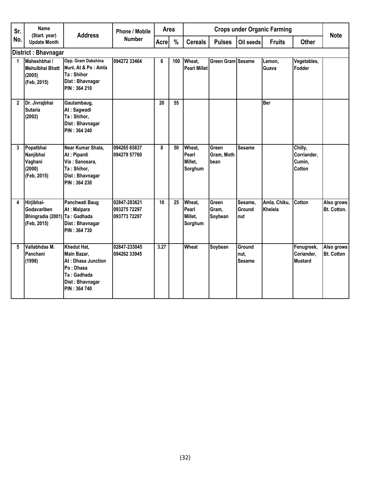| Sr. | Name                                                                      | <b>Address</b>                                                                                                  | Phone / Mobile                               | Area            |      |                                       |                             |                                 | <b>Crops under Organic Farming</b> |                                            | <b>Note</b>                     |
|-----|---------------------------------------------------------------------------|-----------------------------------------------------------------------------------------------------------------|----------------------------------------------|-----------------|------|---------------------------------------|-----------------------------|---------------------------------|------------------------------------|--------------------------------------------|---------------------------------|
| No. | (Start. year)<br><b>Update Month</b>                                      |                                                                                                                 | <b>Number</b>                                | <b>Acre</b>     | $\%$ | <b>Cereals</b>                        | <b>Pulses</b>               | Oil seeds                       | <b>Fruits</b>                      | <b>Other</b>                               |                                 |
|     | <b>District: Bhavnagar</b>                                                |                                                                                                                 |                                              |                 |      |                                       |                             |                                 |                                    |                                            |                                 |
| 1   | Maheshbhai /<br>Mehulbhai Bhatt<br>(2005)<br>(Feb, 2015)                  | Opp. Gram Dakshina<br>Murti, At & Po: Amla<br>Ta: Shihor<br>Dist: Bhavnagar<br>PIN: 364 210                     | 094272 33464                                 | 6               | 100  | Wheat,<br><b>Pearl Millet</b>         | Green Gram Sesame           |                                 | Lemon,<br>Guava                    | Vegetables,<br>Fodder                      |                                 |
| 2   | Dr. Jivrajbhai<br><b>Sutaria</b><br>(2002)                                | Gautambaug,<br>At: Sagwadi<br>Ta: Shihor,<br>Dist: Bhavnagar<br><b>PIN: 364 240</b>                             |                                              | 20              | 55   |                                       |                             |                                 | <b>Ber</b>                         |                                            |                                 |
| 3   | Popatbhai<br>Nanjibhai<br>Vaghani<br>(2000)<br>(Feb, 2015)                | Near Kumar Shala,<br>At: Pipardi<br>Via: Sanosara,<br>Ta: Shihor,<br>Dist: Bhavnagar<br>PIN: 364 230            | 094265 65837<br>094279 57760                 | 8               | 50   | Wheat,<br>Pearl<br>Millet,<br>Sorghum | Green<br>Gram, Moth<br>bean | <b>Sesame</b>                   |                                    | Chilly,<br>Corriander,<br>Cumin,<br>Cotton |                                 |
| 4   | Hirjibhai-<br>Godavariben<br>Bhingradia (2001) Ta: Gadhada<br>(Feb, 2015) | Panchwati Baug<br>At: Malpara<br>Dist: Bhavnagar<br>PIN: 364 730                                                | 02847-283621<br>093275 72297<br>093773 72297 | 10 <sup>1</sup> | 25   | Wheat,<br>Pearl<br>Millet,<br>Sorghum | Green<br>Gram.<br>Soybean   | Sesame,<br><b>Ground</b><br>nut | Amla, Chiku,<br>Khelela            | <b>Cotton</b>                              | Also grows<br>Bt. Cotton.       |
| 5   | Vallabhdas M.<br>Panchani<br>(1998)                                       | Khedut Hat,<br>Main Bazar,<br>At: Dhasa Junction<br>Po: Dhasa<br>Ta: Gadhada<br>Dist: Bhavnagar<br>PIN: 364 740 | 02847-233045<br>094262 33945                 | 3.27            |      | <b>Wheat</b>                          | Soybean                     | Ground<br>nut.<br><b>Sesame</b> |                                    | Fenugreek,<br>Coriander,<br><b>Mustard</b> | Also grows<br><b>Bt. Cotton</b> |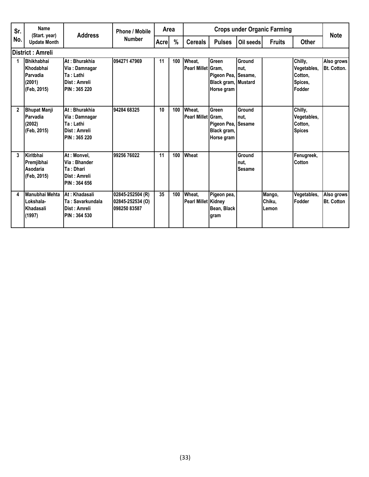| Sr.            | Name                                                                | <b>Address</b>                                                                       | <b>Phone / Mobile</b>                                | Area        |      |                               |                                                                   |                                 | <b>Crops under Organic Farming</b> |                                                               | <b>Note</b>                      |
|----------------|---------------------------------------------------------------------|--------------------------------------------------------------------------------------|------------------------------------------------------|-------------|------|-------------------------------|-------------------------------------------------------------------|---------------------------------|------------------------------------|---------------------------------------------------------------|----------------------------------|
| No.            | (Start. year)<br><b>Update Month</b>                                |                                                                                      | <b>Number</b>                                        | <b>Acre</b> | $\%$ | <b>Cereals</b>                | <b>Pulses</b>                                                     | Oil seeds                       | <b>Fruits</b>                      | <b>Other</b>                                                  |                                  |
|                | District : Amreli                                                   |                                                                                      |                                                      |             |      |                               |                                                                   |                                 |                                    |                                                               |                                  |
|                | <b>Bhikhabhai</b><br>Khodabhai<br>Parvadia<br>(2001)<br>(Feb, 2015) | At: Bhurakhia<br>Via: Damnagar<br>Ta : Lathi<br>Dist : Amreli<br><b>PIN: 365 220</b> | 094271 47969                                         | 11          | 100  | Wheat,<br>Pearl Millet Gram,  | Green<br>Pigeon Pea, Sesame,<br>Black gram, Mustard<br>Horse gram | Ground<br>nut.                  |                                    | Chilly,<br>Vegetables,<br>Cotton,<br>Spices.<br><b>Fodder</b> | Also grows<br><b>Bt. Cotton.</b> |
| $\overline{2}$ | <b>Bhupat Manji</b><br>Parvadia<br>(2002)<br>(Feb. 2015)            | At: Bhurakhia<br>Via: Damnagar<br>Ta : Lathi<br>Dist : Amreli<br>PIN: 365 220        | 94284 68325                                          | 10          | 100  | Wheat,<br>Pearl Millet Gram,  | Green<br>Pigeon Pea, Sesame<br>Black gram,<br>Horse gram          | Ground<br>nut.                  |                                    | Chilly,<br>Vegetables,<br>Cotton,<br><b>Spices</b>            |                                  |
| 3              | Kiritbhai<br>Premjibhai<br>Asodaria<br>(Feb, 2015)                  | At: Monvel,<br>Via: Bhander<br>Ta: Dhari<br>Dist : Amreli<br><b>PIN : 364 656</b>    | 99256 76022                                          | 11          | 100  | Wheat                         |                                                                   | Ground<br>nut.<br><b>Sesame</b> |                                    | Fenugreek,<br>Cotton                                          |                                  |
| 4              | Manubhai Mehta<br>Lokshala-<br>Khadasali<br>(1997)                  | At: Khadasali<br>Ta: Savarkundala<br>Dist : Amreli<br>PIN: 364 530                   | 02845-252504 (R)<br>02845-252534 (O)<br>098250 83587 | 35          | 100  | Wheat.<br>Pearl Millet Kidney | Pigeon pea,<br>Bean, Black<br>gram                                |                                 | Mango,<br>Chiku.<br>Lemon          | Vegetables,<br>Fodder                                         | Also grows<br><b>Bt. Cotton</b>  |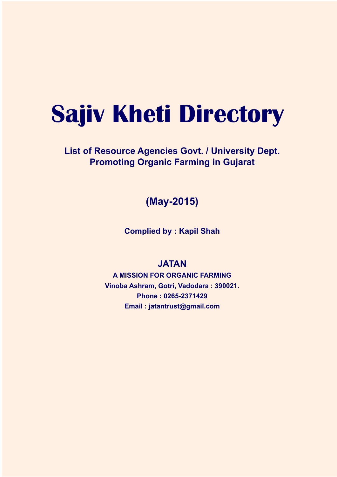# **Sajiv Kheti Directory**

**List of Resource Agencies Govt. / University Dept. Promoting Organic Farming in Gujarat**

**(May-2015)**

**Complied by : Kapil Shah**

#### **JATAN**

**A MISSION FOR ORGANIC FARMING Vinoba Ashram, Gotri, Vadodara : 390021. Phone : 0265-2371429 Email : jatantrust@gmail.com**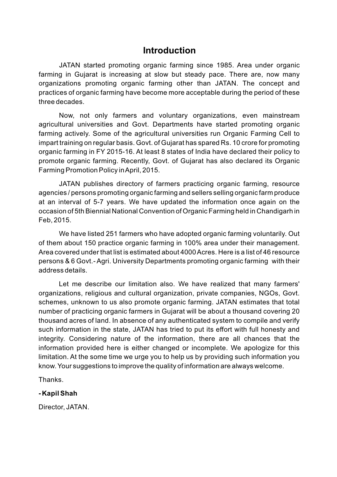### **Introduction**

JATAN started promoting organic farming since 1985. Area under organic farming in Gujarat is increasing at slow but steady pace. There are, now many organizations promoting organic farming other than JATAN. The concept and practices of organic farming have become more acceptable during the period of these three decades.

Now, not only farmers and voluntary organizations, even mainstream agricultural universities and Govt. Departments have started promoting organic farming actively. Some of the agricultural universities run Organic Farming Cell to impart training on regular basis. Govt. of Gujarat has spared Rs. 10 crore for promoting organic farming in FY 2015-16. At least 8 states of India have declared their policy to promote organic farming. Recently, Govt. of Gujarat has also declared its Organic Farming Promotion Policy in April, 2015.

JATAN publishes directory of farmers practicing organic farming, resource agencies / persons promoting organic farming and sellers selling organic farm produce at an interval of 5-7 years. We have updated the information once again on the occasion of 5th Biennial National Convention of Organic Farming held in Chandigarh in Feb, 2015.

We have listed 251 farmers who have adopted organic farming voluntarily. Out of them about 150 practice organic farming in 100% area under their management. Area covered under that list is estimated about 4000 Acres. Here is a list of 46 resource persons & 6 Govt.- Agri. University Departments promoting organic farming with their address details.

Let me describe our limitation also. We have realized that many farmers' organizations, religious and cultural organization, private companies, NGOs, Govt. schemes, unknown to us also promote organic farming. JATAN estimates that total number of practicing organic farmers in Gujarat will be about a thousand covering 20 thousand acres of land. In absence of any authenticated system to compile and verify such information in the state, JATAN has tried to put its effort with full honesty and integrity. Considering nature of the information, there are all chances that the information provided here is either changed or incomplete. We apologize for this limitation. At the some time we urge you to help us by providing such information you know. Your suggestions to improve the quality of information are always welcome.

Thanks.

#### **- Kapil Shah**

Director, JATAN.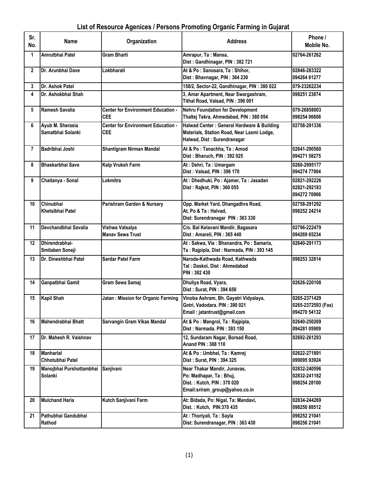### List of Resource Agenices / Persons Promoting Organic Farming in Gujarat

| Sr.<br>No.   | <b>Name</b>                                | Organization                                            | <b>Address</b>                                                                                                           | Phone /<br>Mobile No.                              |
|--------------|--------------------------------------------|---------------------------------------------------------|--------------------------------------------------------------------------------------------------------------------------|----------------------------------------------------|
| 1            | Amrutbhai Patel                            | <b>Gram Bharti</b>                                      | Amrapur, Ta: Mansa,<br>Dist: Gandhinagar, PIN: 382 721                                                                   | 02764-261262                                       |
| $\mathbf{2}$ | Dr. Arunbhai Dave                          | Lokbharati                                              | At & Po: Sanosara, Ta: Shihor,<br>Dist: Bhavnagar, PIN: 364 230                                                          | 02846-283322<br>094264 61277                       |
| 3            | Dr. Ashok Patel                            |                                                         | 158/2, Sector-22, Gandhinagar, PIN: 380 022                                                                              | 079-23262234                                       |
| 4            | Dr. Ashokbhai Shah                         |                                                         | 3, Amar Apartment, Near Swargashram,<br>Tithal Road, Valsad, PIN: 396 001                                                | 098251 23874                                       |
| 5            | <b>Ramesh Savalia</b>                      | <b>Center for Environment Education -</b><br><b>CEE</b> | <b>Nehru Foundation for Development</b><br>Thaltej Tekra, Ahmedabad, PIN: 380 054                                        | 079-26858003<br>098254 06608                       |
| 6            | Ayub M. Sherasia<br>Samatbhai Solanki      | <b>Center for Environment Education -</b><br><b>CEE</b> | Halwad Center : General Hardware & Building<br>Materials, Station Road, Near Laxmi Lodge,<br>Halwad, Dist: Surendranagar | 02758-291336                                       |
| 7            | Badribhai Joshi                            | <b>Shantigram Nirman Mandal</b>                         | At & Po: Tanachha, Ta: Amod<br>Dist: Bharuch, PIN: 392 025                                                               | 02641-290560<br>094271 58275                       |
| 8            | Bhaskarbhai Save                           | Kalp Vruksh Farm                                        | At: Dehri, Ta: Umargam<br>Dist: Valsad, PIN: 396 170                                                                     | 0260-2995177<br>094274 77904                       |
| 9            | Chaitanya - Sonal                          | Lokmitra                                                | At: Dhedhuki, Po: Ajamer, Ta: Jasadan<br>Dist: Rajkot, PIN: 360 055                                                      | 02821-292226<br>02821-292183<br>094272 70966       |
| 10           | Chinubhai<br>Khetsibhai Patel              | Parishram Garden & Nursary                              | Opp. Market Yard, Dhangadhra Road,<br>At, Po & Ta: Halvad,<br>Dist: Surendranagar PIN: 363 330                           | 02758-291292<br>098252 24214                       |
| 11           | Devchandbhai Savalia                       | Vishwa Vatsalya<br><b>Manav Sewa Trust</b>              | C/o. Bal Kelavani Mandir, Bagasara<br>Dist: Amareli, PIN: 365 440                                                        | 02796-222479<br>094269 65234                       |
| 12           | Dhirendrabhai-<br>Smitaben Soneji          |                                                         | At: Sakwa, Via: Bhanandra, Po: Samaria,<br>Ta: Rajpipla, Dist: Narmada, PIN: 393 145                                     | 02640-291173                                       |
| 13           | Dr. Dineshbhai Patel                       | <b>Sardar Patel Farm</b>                                | Naroda-Kathwada Road, Kathwada<br>Tal: Daskoi, Dist: Ahmedabad<br>PIN: 382 430                                           | 098253 32814                                       |
| 14           | Ganpatbhai Gamit                           | Gram Sewa Samaj                                         | Dhuliya Road, Vyara,<br>Dist: Surat, PIN: 394 650                                                                        | 02626-220108                                       |
| 15           | <b>Kapil Shah</b>                          | Jatan: Mission for Organic Farming                      | Vinoba Ashram, Bh. Gayatri Vidyalaya,<br>Gotri, Vadodara. PIN: 390 021<br>Email: jatantrust@gmail.com                    | 0265-2371429<br>0265-2372593 (Fax)<br>094270 54132 |
| 16           | Mahendrabhai Bhatt                         | Sarvangin Gram Vikas Mandal                             | At & Po: Mangrol, Ta: Rajpipla,<br>Dist: Narmada. PIN: 393 150                                                           | 02640-250269<br>094281 05909                       |
| 17           | Dr. Mahesh R. Vaishnav                     |                                                         | 12, Sundaram Nagar, Borsad Road,<br>Anand PIN: 388 110                                                                   | 02692-261293                                       |
| 18           | <b>Manharlal</b><br>Chhotubhai Patel       |                                                         | At & Po: Umbhel, Ta: Kamrej<br>Dist: Surat, PIN: 394 325                                                                 | 02622-271891<br>099095 93924                       |
| 19           | Manojbhai Purshottambhai<br><b>Solanki</b> | Sanjivani                                               | Near Thakar Mandir, Junavas,<br>Po: Madhapar, Ta: Bhuj,<br>Dist.: Kutch, PIN: 370 020<br>Email:sriram_group@yahoo.co.in  | 02832-240596<br>02832-241182<br>098254 28100       |
| 20           | <b>Mulchand Haria</b>                      | Kutch Sanjivani Farm                                    | At: Bidada, Po: Nigal, Ta: Mandavi,<br>Dist.: Kutch, PIN:370 435                                                         | 02834-244269<br>098250 88512                       |
| 21           | Pathubhai Gandubhai<br>Rathod              |                                                         | At: Thoriyali, Ta: Sayla<br>Dist: Surendranagar, PIN: 363 430                                                            | 098252 21041<br>098256 21041                       |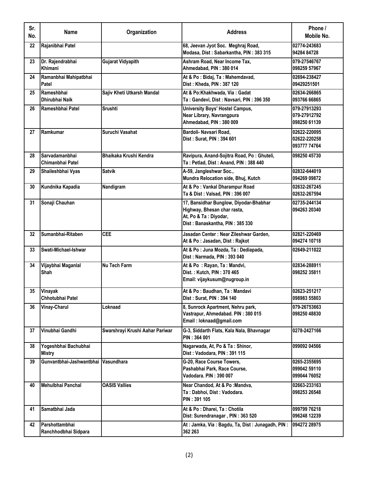| Sr.<br>No. | <b>Name</b>                            | Organization                    | <b>Address</b>                                                                                                                    | Phone /<br>Mobile No.                        |
|------------|----------------------------------------|---------------------------------|-----------------------------------------------------------------------------------------------------------------------------------|----------------------------------------------|
| 22         | Rajanibhai Patel                       |                                 | 68, Jeevan Jyot Soc. Meghraj Road,<br>Modasa, Dist: Sabarkantha, PIN: 383 315                                                     | 02774-243683<br>94284 84728                  |
| 23         | Dr. Rajendrabhai<br>Khimani            | <b>Gujarat Vidyapith</b>        | Ashram Road, Near Income Tax,<br>Ahmedabad, PIN: 380 014                                                                          | 079-27546767<br>098259 57967                 |
| 24         | Ramanbhai Mahipatbhai<br>Patel         |                                 | At & Po: Bidaj, Ta: Mahemdavad,<br>Dist: Kheda, PIN: 387 120                                                                      | 02694-238427<br>09429251501                  |
| 25         | Rameshbhai<br>Dhirubhai Naik           | Sajiv Kheti Utkarsh Mandal      | At & Po:Khakhwada, Via: Gadat<br>Ta: Gandevi, Dist: Navsari, PIN: 396 350                                                         | 02634-266865<br>093766 66865                 |
| 26         | Rameshbhai Patel                       | <b>Srushti</b>                  | <b>University Boys' Hostel Campus,</b><br>Near Library, Navrangpura<br>Ahmedabad, PIN: 380 009                                    | 079-27913293<br>079-27912792<br>098250 61139 |
| 27         | Ramkumar                               | Suruchi Vasahat                 | Bardoli- Navsari Road,<br>Dist: Surat, PIN: 394 601                                                                               | 02622-220095<br>02622-220258<br>093777 74764 |
| 28         | Sarvadamanbhai<br>Chimanbhai Patel     | Bhaikaka Krushi Kendra          | Ravipura, Anand-Sojitra Road, Po: Ghuteli,<br>Ta: Petlad, Dist: Anand, PIN: 388 440                                               | 098250 45730                                 |
| 29         | Shaileshbhai Vyas                      | <b>Satvik</b>                   | A-59, Jangleshwar Soc.,<br>Mundra Relocation side, Bhuj, Kutch                                                                    | 02832-644019<br>094269 09872                 |
| 30         | Kundnika Kapadia                       | Nandigram                       | At & Po: Vankal Dharampur Road<br>Ta & Dist: Valsad, PIN: 396 007                                                                 | 02632-267245<br>02632-267594                 |
| 31         | Sonaji Chauhan                         |                                 | 17, Bansidhar Bunglow, Diyodar-Bhabhar<br>Highway, Bhesan char rasta,<br>At, Po & Ta: Diyodar,<br>Dist: Banaskantha, PIN: 385 330 | 02735-244134<br>094263 20340                 |
| 32         | Sumanbhai-Ritaben                      | <b>CEE</b>                      | Jasadan Center: Near Zileshwar Garden,<br>At & Po: Jasadan, Dist: Rajkot                                                          | 02821-220469<br>094274 10718                 |
| 33         | Swati-Michael-Ishwar                   |                                 | At & Po: Juna Mozda, Ta: Dediapada,<br>Dist: Narmada, PIN: 393 040                                                                | 02649-211022                                 |
| 34         | Vijaybhai Maganlal<br><b>Shah</b>      | Nu Tech Farm                    | At & Po: Rayan, Ta: Mandvi,<br>Dist.: Kutch, PIN: 370 465<br>Email: vijaykusum@nugroup.in                                         | 02834-288911<br>098252 35811                 |
| 35         | Vinayak<br>Chhotubhai Patel            |                                 | At & Po: Baudhan, Ta: Mandavi<br>Dist: Surat, PIN: 394 140                                                                        | 02623-251217<br>098983 55803                 |
| 36         | <b>Vinay-Charul</b>                    | Loknaad                         | 8, Sunrock Apartment, Nehru park,<br>Vastrapur, Ahmedabad. PIN: 380 015<br>Email: loknaad@gmail.com                               | 079-26753663<br>098250 48830                 |
| 37         | Vinubhai Gandhi                        | Swarshrayi Krushi Aahar Pariwar | G-3, Siddarth Flats, Kala Nala, Bhavnagar<br>PIN: 364 001                                                                         | 0278-2427166                                 |
| 38         | Yogeshbhai Bachubhai<br><b>Mistry</b>  |                                 | Nagarwada, At, Po & Ta: Shinor,<br>Dist: Vadodara, PIN: 391 115                                                                   | 099092 04566                                 |
| 39         | Gunvantbhai-Jashwantbhai Vasundhara    |                                 | G-20, Race Course Towers,<br>Pashabhai Park, Race Course,<br>Vadodara. PIN: 390 007                                               | 0265-2355695<br>099042 59110<br>099044 76052 |
| 40         | Mehulbhai Panchal                      | <b>OASIS Vallies</b>            | Near Chandod, At & Po: Mandva,<br>Ta : Dabhoi, Dist : Vadodara.<br>PIN: 391 105                                                   | 02663-233163<br>098253 26548                 |
| 41         | Samatbhai Jada                         |                                 | At & Po : Dharei, Ta : Chotila<br>Dist: Surendranagar, PIN: 363 520                                                               | 099799 76218<br>096248 12239                 |
| 42         | Parshottambhai<br>Ranchhodbhai Sidpara |                                 | At: Jamka, Via: Bagdu, Ta, Dist: Junagadh, PIN:<br>362 263                                                                        | 094272 28975                                 |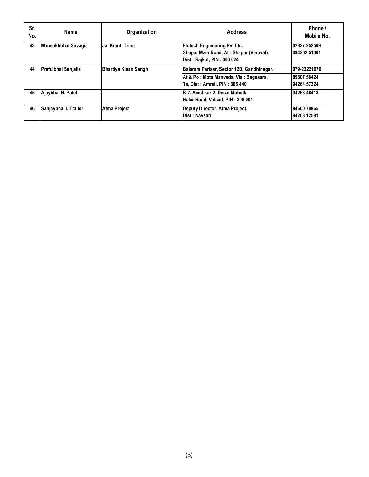| Sr.<br>No. | Name                  | Organization                | <b>Address</b>                                                                                               | Phone /<br>Mobile No.        |
|------------|-----------------------|-----------------------------|--------------------------------------------------------------------------------------------------------------|------------------------------|
| 43         | Mansukhbhai Suvagia   | Jal Kranti Trust            | <b>Flotech Engineering Pvt Ltd.</b><br>Shapar Main Road, At: Shapar (Veraval),<br>Dist: Rajkot, PIN: 360 024 | 02827 252509<br>094262 51301 |
| 44         | Prafulbhai Senjalia   | <b>Bhartiya Kisan Sangh</b> | Balaram Parisar, Sector 12D, Gandhinagar.                                                                    | 079-23221976                 |
|            |                       |                             | At & Po: Mota Manvada, Via: Bagasara,<br>Ta, Dist: Amreli, PIN: 365 440                                      | 89807 58424<br>94264 57324   |
| 45         | Ajaybhai N. Patel     |                             | B-7, Avishkar-2, Desai Moholla,<br>Halar Road, Valsad, PIN: 396 001                                          | 94268 46418                  |
| 46         | Sanjaybhai I. Trailor | <b>Atma Project</b>         | Deputy Director, Atma Project,<br>Dist: Navsari                                                              | 84600 70965<br>94268 12581   |